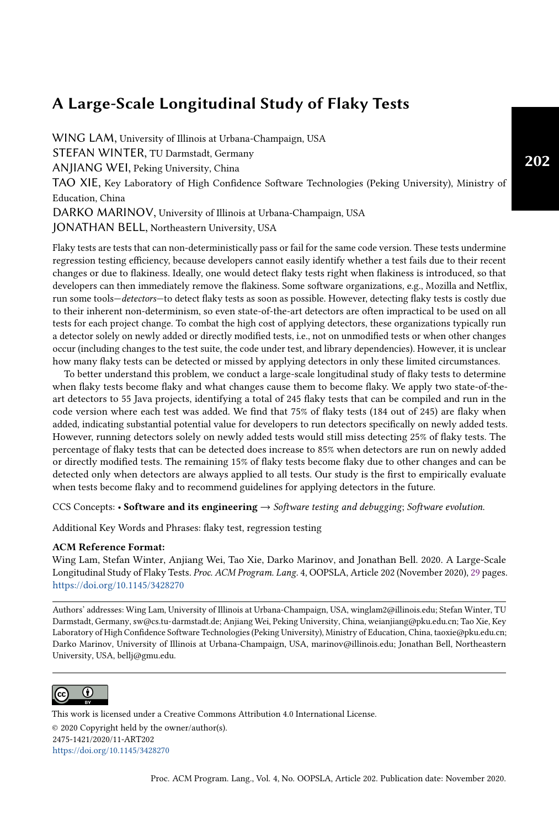WING LAM, University of Illinois at Urbana-Champaign, USA STEFAN WINTER, TU Darmstadt, Germany ANJIANG WEI, Peking University, China TAO XIE, Key Laboratory of High Confidence Software Technologies (Peking University), Ministry of Education, China DARKO MARINOV, University of Illinois at Urbana-Champaign, USA JONATHAN BELL, Northeastern University, USA

Flaky tests are tests that can non-deterministically pass or fail for the same code version. These tests undermine regression testing efficiency, because developers cannot easily identify whether a test fails due to their recent changes or due to flakiness. Ideally, one would detect flaky tests right when flakiness is introduced, so that developers can then immediately remove the flakiness. Some software organizations, e.g., Mozilla and Netflix, run some tools-detectors-to detect flaky tests as soon as possible. However, detecting flaky tests is costly due to their inherent non-determinism, so even state-of-the-art detectors are often impractical to be used on all tests for each project change. To combat the high cost of applying detectors, these organizations typically run a detector solely on newly added or directly modified tests, i.e., not on unmodified tests or when other changes occur (including changes to the test suite, the code under test, and library dependencies). However, it is unclear how many flaky tests can be detected or missed by applying detectors in only these limited circumstances.

To better understand this problem, we conduct a large-scale longitudinal study of flaky tests to determine when flaky tests become flaky and what changes cause them to become flaky. We apply two state-of-theart detectors to 55 Java projects, identifying a total of 245 flaky tests that can be compiled and run in the code version where each test was added. We find that 75% of flaky tests (184 out of 245) are flaky when added, indicating substantial potential value for developers to run detectors specifically on newly added tests. However, running detectors solely on newly added tests would still miss detecting 25% of flaky tests. The percentage of flaky tests that can be detected does increase to 85% when detectors are run on newly added or directly modified tests. The remaining 15% of flaky tests become flaky due to other changes and can be detected only when detectors are always applied to all tests. Our study is the first to empirically evaluate when tests become flaky and to recommend guidelines for applying detectors in the future.

CCS Concepts: • Software and its engineering  $\rightarrow$  Software testing and debugging; Software evolution.

Additional Key Words and Phrases: flaky test, regression testing

#### ACM Reference Format:

Wing Lam, Stefan Winter, Anjiang Wei, Tao Xie, Darko Marinov, and Jonathan Bell. 2020. A Large-Scale Longitudinal Study of Flaky Tests. Proc. ACM Program. Lang. 4, OOPSLA, Article 202 (November 2020), [29](#page-28-0) pages. <https://doi.org/10.1145/3428270>

Authors' addresses: Wing Lam, University of Illinois at Urbana-Champaign, USA, winglam2@illinois.edu; Stefan Winter, TU Darmstadt, Germany, sw@cs.tu-darmstadt.de; Anjiang Wei, Peking University, China, weianjiang@pku.edu.cn; Tao Xie, Key Laboratory of High Confidence Software Technologies (Peking University), Ministry of Education, China, taoxie@pku.edu.cn; Darko Marinov, University of Illinois at Urbana-Champaign, USA, marinov@illinois.edu; Jonathan Bell, Northeastern University, USA, bellj@gmu.edu.



This work is licensed under a Creative Commons Attribution 4.0 International License. © 2020 Copyright held by the owner/author(s). 2475-1421/2020/11-ART202 <https://doi.org/10.1145/3428270>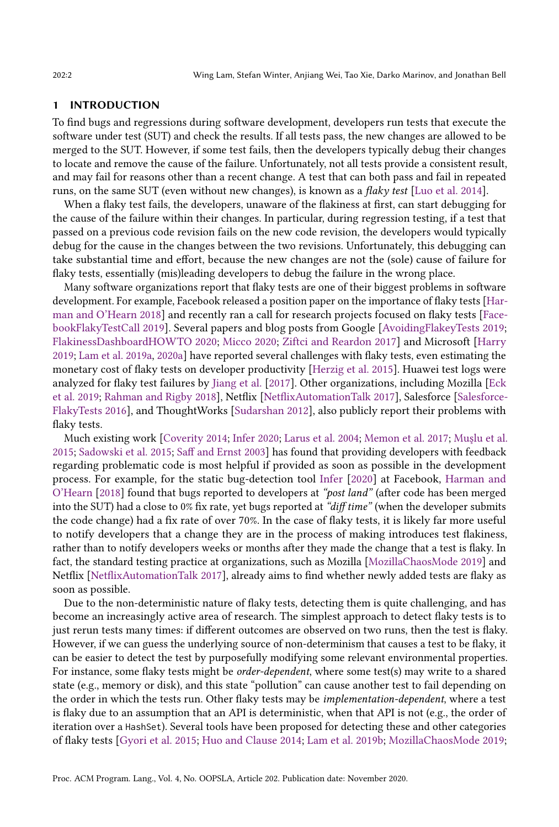#### 1 INTRODUCTION

To find bugs and regressions during software development, developers run tests that execute the software under test (SUT) and check the results. If all tests pass, the new changes are allowed to be merged to the SUT. However, if some test fails, then the developers typically debug their changes to locate and remove the cause of the failure. Unfortunately, not all tests provide a consistent result, and may fail for reasons other than a recent change. A test that can both pass and fail in repeated runs, on the same SUT (even without new changes), is known as a flaky test [\[Luo et al. 2014\]](#page-27-0).

When a flaky test fails, the developers, unaware of the flakiness at first, can start debugging for the cause of the failure within their changes. In particular, during regression testing, if a test that passed on a previous code revision fails on the new code revision, the developers would typically debug for the cause in the changes between the two revisions. Unfortunately, this debugging can take substantial time and effort, because the new changes are not the (sole) cause of failure for flaky tests, essentially (mis)leading developers to debug the failure in the wrong place.

Many software organizations report that flaky tests are one of their biggest problems in software development. For example, Facebook released a position paper on the importance of flaky tests [\[Har](#page-27-1)[man and O'Hearn 2018\]](#page-27-1) and recently ran a call for research projects focused on flaky tests [\[Face](#page-27-2)[bookFlakyTestCall 2019\]](#page-27-2). Several papers and blog posts from Google [\[AvoidingFlakeyTests 2019;](#page-27-3) [FlakinessDashboardHOWTO 2020;](#page-27-4) [Micco 2020;](#page-28-1) [Ziftci and Reardon 2017\]](#page-28-2) and Microsoft [\[Harry](#page-27-5) [2019;](#page-27-5) [Lam et al.](#page-27-6) [2019a,](#page-27-6) [2020a\]](#page-27-7) have reported several challenges with flaky tests, even estimating the monetary cost of flaky tests on developer productivity [\[Herzig et al.](#page-27-8) [2015\]](#page-27-8). Huawei test logs were analyzed for flaky test failures by [Jiang et al.](#page-27-9) [\[2017\]](#page-27-9). Other organizations, including Mozilla [\[Eck](#page-27-10) [et al.](#page-27-10) [2019;](#page-27-10) [Rahman and Rigby 2018\]](#page-28-3), Netflix [\[NetflixAutomationTalk 2017\]](#page-28-4), Salesforce [\[Salesforce-](#page-28-5)[FlakyTests 2016\]](#page-28-5), and ThoughtWorks [\[Sudarshan 2012\]](#page-28-6), also publicly report their problems with flaky tests.

Much existing work [\[Coverity 2014;](#page-27-11) [Infer 2020;](#page-27-12) [Larus et al.](#page-27-13) [2004;](#page-27-13) [Memon et al.](#page-27-14) [2017;](#page-27-14) [Muşlu et al.](#page-28-7) [2015;](#page-28-7) [Sadowski et al.](#page-28-8) [2015;](#page-28-8) [Saff and Ernst 2003\]](#page-28-9) has found that providing developers with feedback regarding problematic code is most helpful if provided as soon as possible in the development process. For example, for the static bug-detection tool [Infer](#page-27-12) [\[2020\]](#page-27-12) at Facebook, [Harman and](#page-27-1) [O'Hearn](#page-27-1) [\[2018\]](#page-27-1) found that bugs reported to developers at "post land" (after code has been merged into the SUT) had a close to 0% fix rate, yet bugs reported at "diff time" (when the developer submits the code change) had a fix rate of over 70%. In the case of flaky tests, it is likely far more useful to notify developers that a change they are in the process of making introduces test flakiness, rather than to notify developers weeks or months after they made the change that a test is flaky. In fact, the standard testing practice at organizations, such as Mozilla [\[MozillaChaosMode 2019\]](#page-28-10) and Netflix [\[NetflixAutomationTalk 2017\]](#page-28-4), already aims to find whether newly added tests are flaky as soon as possible.

Due to the non-deterministic nature of flaky tests, detecting them is quite challenging, and has become an increasingly active area of research. The simplest approach to detect flaky tests is to just rerun tests many times: if different outcomes are observed on two runs, then the test is flaky. However, if we can guess the underlying source of non-determinism that causes a test to be flaky, it can be easier to detect the test by purposefully modifying some relevant environmental properties. For instance, some flaky tests might be *order-dependent*, where some test(s) may write to a shared state (e.g., memory or disk), and this state "pollution" can cause another test to fail depending on the order in which the tests run. Other flaky tests may be implementation-dependent, where a test is flaky due to an assumption that an API is deterministic, when that API is not (e.g., the order of iteration over a HashSet). Several tools have been proposed for detecting these and other categories of flaky tests [\[Gyori et al.](#page-27-15) [2015;](#page-27-15) [Huo and Clause 2014;](#page-27-16) [Lam et al.](#page-27-17) [2019b;](#page-27-17) [MozillaChaosMode 2019;](#page-28-10)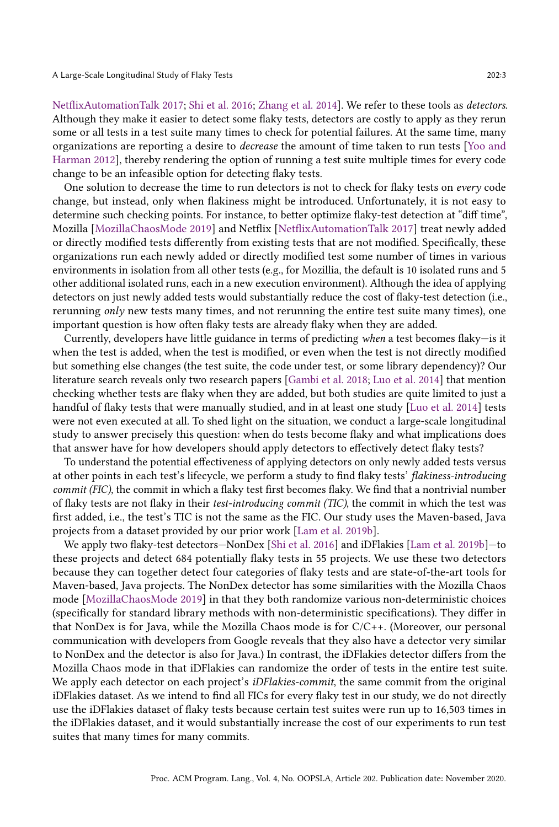[NetflixAutomationTalk 2017;](#page-28-4) [Shi et al.](#page-28-11) [2016;](#page-28-11) [Zhang et al.](#page-28-12) [2014\]](#page-28-12). We refer to these tools as detectors. Although they make it easier to detect some flaky tests, detectors are costly to apply as they rerun some or all tests in a test suite many times to check for potential failures. At the same time, many organizations are reporting a desire to decrease the amount of time taken to run tests [\[Yoo and](#page-28-13) [Harman 2012\]](#page-28-13), thereby rendering the option of running a test suite multiple times for every code change to be an infeasible option for detecting flaky tests.

One solution to decrease the time to run detectors is not to check for flaky tests on every code change, but instead, only when flakiness might be introduced. Unfortunately, it is not easy to determine such checking points. For instance, to better optimize flaky-test detection at "diff time", Mozilla [\[MozillaChaosMode 2019\]](#page-28-10) and Netflix [\[NetflixAutomationTalk 2017\]](#page-28-4) treat newly added or directly modified tests differently from existing tests that are not modified. Specifically, these organizations run each newly added or directly modified test some number of times in various environments in isolation from all other tests (e.g., for Mozillia, the default is 10 isolated runs and 5 other additional isolated runs, each in a new execution environment). Although the idea of applying detectors on just newly added tests would substantially reduce the cost of flaky-test detection (i.e., rerunning only new tests many times, and not rerunning the entire test suite many times), one important question is how often flaky tests are already flaky when they are added.

Currently, developers have little guidance in terms of predicting when a test becomes flaky $-i$ s it when the test is added, when the test is modified, or even when the test is not directly modified but something else changes (the test suite, the code under test, or some library dependency)? Our literature search reveals only two research papers [\[Gambi et al.](#page-27-18) [2018;](#page-27-18) [Luo et al.](#page-27-0) [2014\]](#page-27-0) that mention checking whether tests are flaky when they are added, but both studies are quite limited to just a handful of flaky tests that were manually studied, and in at least one study [\[Luo et al.](#page-27-0) [2014\]](#page-27-0) tests were not even executed at all. To shed light on the situation, we conduct a large-scale longitudinal study to answer precisely this question: when do tests become flaky and what implications does that answer have for how developers should apply detectors to effectively detect flaky tests?

To understand the potential effectiveness of applying detectors on only newly added tests versus at other points in each test's lifecycle, we perform a study to find flaky tests' flakiness-introducing commit (FIC), the commit in which a flaky test first becomes flaky. We find that a nontrivial number of flaky tests are not flaky in their test-introducing commit (TIC), the commit in which the test was first added, i.e., the test's TIC is not the same as the FIC. Our study uses the Maven-based, Java projects from a dataset provided by our prior work [\[Lam et al. 2019b\]](#page-27-17).

We apply two flaky-test detectors-NonDex [\[Shi et al.](#page-28-11) [2016\]](#page-28-11) and iDFlakies [\[Lam et al.](#page-27-17) [2019b\]](#page-27-17)-to these projects and detect 684 potentially flaky tests in 55 projects. We use these two detectors because they can together detect four categories of flaky tests and are state-of-the-art tools for Maven-based, Java projects. The NonDex detector has some similarities with the Mozilla Chaos mode [\[MozillaChaosMode 2019\]](#page-28-10) in that they both randomize various non-deterministic choices (specifically for standard library methods with non-deterministic specifications). They differ in that NonDex is for Java, while the Mozilla Chaos mode is for C/C++. (Moreover, our personal communication with developers from Google reveals that they also have a detector very similar to NonDex and the detector is also for Java.) In contrast, the iDFlakies detector differs from the Mozilla Chaos mode in that iDFlakies can randomize the order of tests in the entire test suite. We apply each detector on each project's *iDFlakies-commit*, the same commit from the original iDFlakies dataset. As we intend to find all FICs for every flaky test in our study, we do not directly use the iDFlakies dataset of flaky tests because certain test suites were run up to 16,503 times in the iDFlakies dataset, and it would substantially increase the cost of our experiments to run test suites that many times for many commits.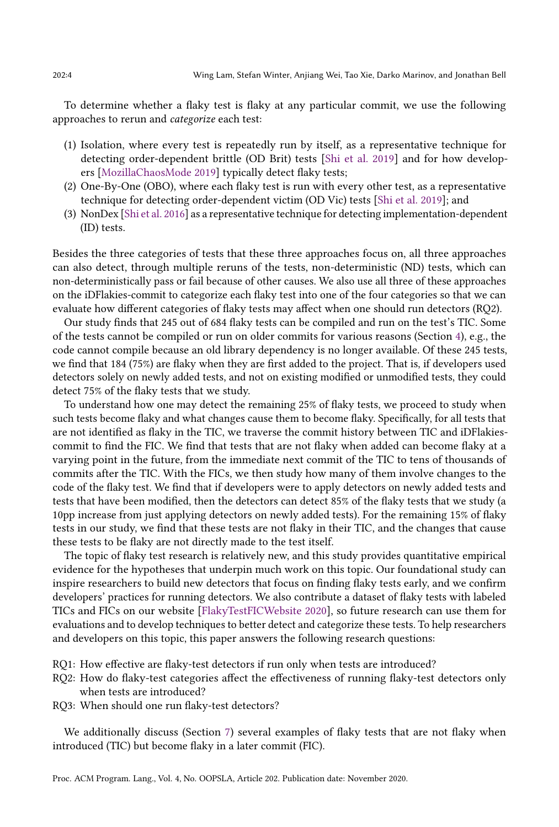To determine whether a flaky test is flaky at any particular commit, we use the following approaches to rerun and categorize each test:

- (1) Isolation, where every test is repeatedly run by itself, as a representative technique for detecting order-dependent brittle (OD Brit) tests [\[Shi et al.](#page-28-14) [2019\]](#page-28-14) and for how developers [\[MozillaChaosMode 2019\]](#page-28-10) typically detect flaky tests;
- (2) One-By-One (OBO), where each flaky test is run with every other test, as a representative technique for detecting order-dependent victim (OD Vic) tests [\[Shi et al. 2019\]](#page-28-14); and
- (3) NonDex [\[Shi et al.](#page-28-11) [2016\]](#page-28-11) as a representative technique for detecting implementation-dependent (ID) tests.

Besides the three categories of tests that these three approaches focus on, all three approaches can also detect, through multiple reruns of the tests, non-deterministic (ND) tests, which can non-deterministically pass or fail because of other causes. We also use all three of these approaches on the iDFlakies-commit to categorize each flaky test into one of the four categories so that we can evaluate how different categories of flaky tests may affect when one should run detectors (RQ2).

Our study finds that 245 out of 684 flaky tests can be compiled and run on the test's TIC. Some of the tests cannot be compiled or run on older commits for various reasons (Section [4\)](#page-13-0), e.g., the code cannot compile because an old library dependency is no longer available. Of these 245 tests, we find that 184 (75%) are flaky when they are first added to the project. That is, if developers used detectors solely on newly added tests, and not on existing modified or unmodified tests, they could detect 75% of the flaky tests that we study.

To understand how one may detect the remaining 25% of flaky tests, we proceed to study when such tests become flaky and what changes cause them to become flaky. Specifically, for all tests that are not identified as flaky in the TIC, we traverse the commit history between TIC and iDFlakiescommit to find the FIC. We find that tests that are not flaky when added can become flaky at a varying point in the future, from the immediate next commit of the TIC to tens of thousands of commits after the TIC. With the FICs, we then study how many of them involve changes to the code of the flaky test. We find that if developers were to apply detectors on newly added tests and tests that have been modified, then the detectors can detect 85% of the flaky tests that we study (a 10pp increase from just applying detectors on newly added tests). For the remaining 15% of flaky tests in our study, we find that these tests are not flaky in their TIC, and the changes that cause these tests to be flaky are not directly made to the test itself.

The topic of flaky test research is relatively new, and this study provides quantitative empirical evidence for the hypotheses that underpin much work on this topic. Our foundational study can inspire researchers to build new detectors that focus on finding flaky tests early, and we confirm developers' practices for running detectors. We also contribute a dataset of flaky tests with labeled TICs and FICs on our website [\[FlakyTestFICWebsite 2020\]](#page-27-19), so future research can use them for evaluations and to develop techniques to better detect and categorize these tests. To help researchers and developers on this topic, this paper answers the following research questions:

RQ1: How effective are flaky-test detectors if run only when tests are introduced?

- RQ2: How do flaky-test categories affect the effectiveness of running flaky-test detectors only when tests are introduced?
- RQ3: When should one run flaky-test detectors?

We additionally discuss (Section [7\)](#page-19-0) several examples of flaky tests that are not flaky when introduced (TIC) but become flaky in a later commit (FIC).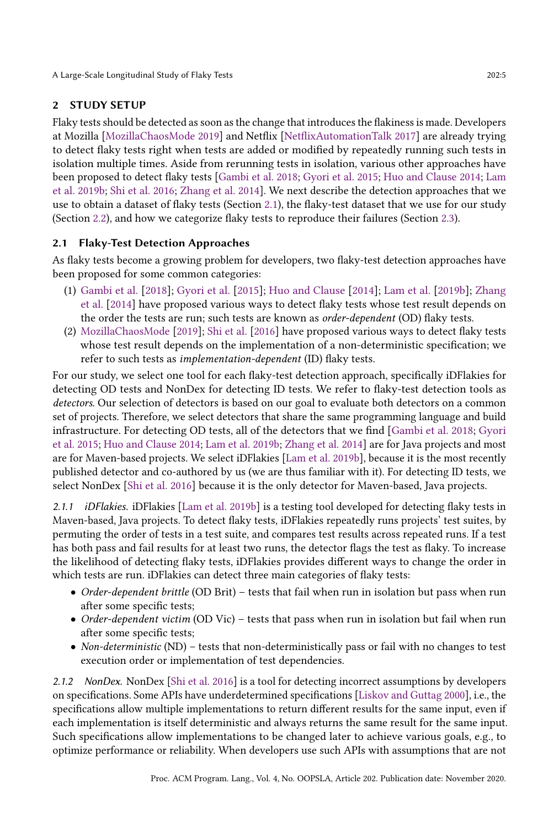## 2 STUDY SETUP

Flaky tests should be detected as soon as the change that introduces the flakiness is made. Developers at Mozilla [\[MozillaChaosMode 2019\]](#page-28-10) and Netflix [\[NetflixAutomationTalk 2017\]](#page-28-4) are already trying to detect flaky tests right when tests are added or modified by repeatedly running such tests in isolation multiple times. Aside from rerunning tests in isolation, various other approaches have been proposed to detect flaky tests [\[Gambi et al.](#page-27-18) [2018;](#page-27-18) [Gyori et al.](#page-27-15) [2015;](#page-27-15) [Huo and Clause 2014;](#page-27-16) [Lam](#page-27-17) [et al.](#page-27-17) [2019b;](#page-27-17) [Shi et al.](#page-28-11) [2016;](#page-28-11) [Zhang et al.](#page-28-12) [2014\]](#page-28-12). We next describe the detection approaches that we use to obtain a dataset of flaky tests (Section [2.1\)](#page-4-0), the flaky-test dataset that we use for our study (Section [2.2\)](#page-5-0), and how we categorize flaky tests to reproduce their failures (Section [2.3\)](#page-7-0).

## <span id="page-4-0"></span>2.1 Flaky-Test Detection Approaches

As flaky tests become a growing problem for developers, two flaky-test detection approaches have been proposed for some common categories:

- (1) [Gambi et al.](#page-27-18) [\[2018\]](#page-27-18); [Gyori et al.](#page-27-15) [\[2015\]](#page-27-15); [Huo and Clause](#page-27-16) [\[2014\]](#page-27-16); [Lam et al.](#page-27-17) [\[2019b\]](#page-27-17); [Zhang](#page-28-12) [et al.](#page-28-12) [\[2014\]](#page-28-12) have proposed various ways to detect flaky tests whose test result depends on the order the tests are run; such tests are known as order-dependent (OD) flaky tests.
- (2) [MozillaChaosMode](#page-28-10) [\[2019\]](#page-28-10); [Shi et al.](#page-28-11) [\[2016\]](#page-28-11) have proposed various ways to detect flaky tests whose test result depends on the implementation of a non-deterministic specification; we refer to such tests as implementation-dependent (ID) flaky tests.

For our study, we select one tool for each flaky-test detection approach, specifically iDFlakies for detecting OD tests and NonDex for detecting ID tests. We refer to flaky-test detection tools as detectors. Our selection of detectors is based on our goal to evaluate both detectors on a common set of projects. Therefore, we select detectors that share the same programming language and build infrastructure. For detecting OD tests, all of the detectors that we find [\[Gambi et al.](#page-27-18) [2018;](#page-27-18) [Gyori](#page-27-15) [et al.](#page-27-15) [2015;](#page-27-15) [Huo and Clause 2014;](#page-27-16) [Lam et al.](#page-27-17) [2019b;](#page-27-17) [Zhang et al.](#page-28-12) [2014\]](#page-28-12) are for Java projects and most are for Maven-based projects. We select iDFlakies [\[Lam et al.](#page-27-17) [2019b\]](#page-27-17), because it is the most recently published detector and co-authored by us (we are thus familiar with it). For detecting ID tests, we select NonDex [\[Shi et al. 2016\]](#page-28-11) because it is the only detector for Maven-based, Java projects.

2.1.1 *iDFlakies.* iDFlakies [\[Lam et al.](#page-27-17) [2019b\]](#page-27-17) is a testing tool developed for detecting flaky tests in Maven-based, Java projects. To detect flaky tests, iDFlakies repeatedly runs projects' test suites, by permuting the order of tests in a test suite, and compares test results across repeated runs. If a test has both pass and fail results for at least two runs, the detector flags the test as flaky. To increase the likelihood of detecting flaky tests, iDFlakies provides different ways to change the order in which tests are run. iDFlakies can detect three main categories of flaky tests:

- Order-dependent brittle (OD Brit) tests that fail when run in isolation but pass when run after some specific tests;
- Order-dependent victim (OD Vic) tests that pass when run in isolation but fail when run after some specific tests;
- Non-deterministic (ND) tests that non-deterministically pass or fail with no changes to test execution order or implementation of test dependencies.

<span id="page-4-1"></span>2.1.2 NonDex. NonDex [\[Shi et al.](#page-28-11) [2016\]](#page-28-11) is a tool for detecting incorrect assumptions by developers on specifications. Some APIs have underdetermined specifications [\[Liskov and Guttag 2000\]](#page-27-20), i.e., the specifications allow multiple implementations to return different results for the same input, even if each implementation is itself deterministic and always returns the same result for the same input. Such specifications allow implementations to be changed later to achieve various goals, e.g., to optimize performance or reliability. When developers use such APIs with assumptions that are not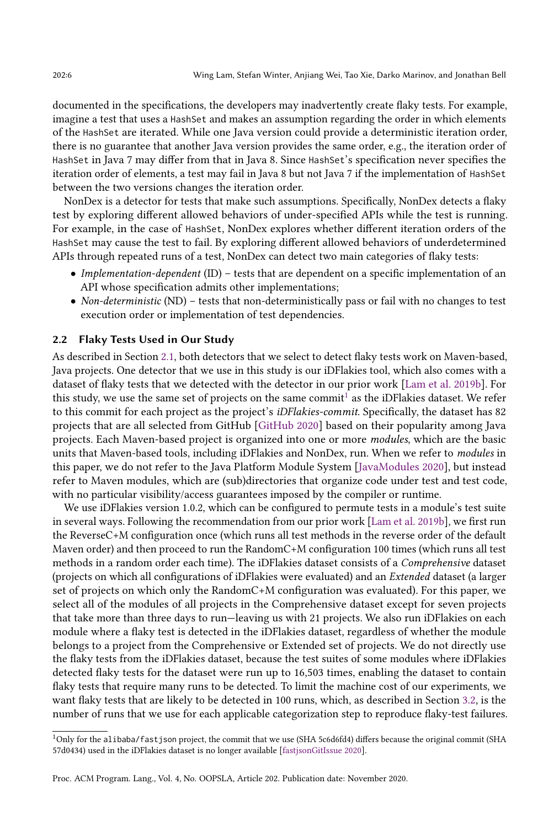documented in the specifications, the developers may inadvertently create flaky tests. For example, imagine a test that uses a HashSet and makes an assumption regarding the order in which elements of the HashSet are iterated. While one Java version could provide a deterministic iteration order, there is no guarantee that another Java version provides the same order, e.g., the iteration order of HashSet in Java 7 may differ from that in Java 8. Since HashSet's specification never specifies the iteration order of elements, a test may fail in Java 8 but not Java 7 if the implementation of HashSet between the two versions changes the iteration order.

NonDex is a detector for tests that make such assumptions. Specifically, NonDex detects a flaky test by exploring different allowed behaviors of under-specified APIs while the test is running. For example, in the case of HashSet, NonDex explores whether different iteration orders of the HashSet may cause the test to fail. By exploring different allowed behaviors of underdetermined APIs through repeated runs of a test, NonDex can detect two main categories of flaky tests:

- Implementation-dependent (ID)  $-$  tests that are dependent on a specific implementation of an API whose specification admits other implementations;
- Non-deterministic (ND) tests that non-deterministically pass or fail with no changes to test execution order or implementation of test dependencies.

#### <span id="page-5-0"></span>2.2 Flaky Tests Used in Our Study

As described in Section [2.1,](#page-4-0) both detectors that we select to detect flaky tests work on Maven-based, Java projects. One detector that we use in this study is our iDFlakies tool, which also comes with a dataset of flaky tests that we detected with the detector in our prior work [\[Lam et al.](#page-27-17) [2019b\]](#page-27-17). For this study, we use the same set of projects on the same commit $^1$  $^1$  as the iDFlakies dataset. We refer to this commit for each project as the project's *iDFlakies-commit*. Specifically, the dataset has 82 projects that are all selected from GitHub [\[GitHub 2020\]](#page-27-21) based on their popularity among Java projects. Each Maven-based project is organized into one or more modules, which are the basic units that Maven-based tools, including iDFlakies and NonDex, run. When we refer to modules in this paper, we do not refer to the Java Platform Module System [\[JavaModules 2020\]](#page-27-22), but instead refer to Maven modules, which are (sub)directories that organize code under test and test code, with no particular visibility/access guarantees imposed by the compiler or runtime.

We use iDFlakies version 1.0.2, which can be configured to permute tests in a module's test suite in several ways. Following the recommendation from our prior work [\[Lam et al.](#page-27-17) [2019b\]](#page-27-17), we first run the ReverseC+M configuration once (which runs all test methods in the reverse order of the default Maven order) and then proceed to run the RandomC+M configuration 100 times (which runs all test methods in a random order each time). The iDFlakies dataset consists of a Comprehensive dataset (projects on which all configurations of iDFlakies were evaluated) and an Extended dataset (a larger set of projects on which only the RandomC+M configuration was evaluated). For this paper, we select all of the modules of all projects in the Comprehensive dataset except for seven projects that take more than three days to run–leaving us with 21 projects. We also run iDFlakies on each module where a flaky test is detected in the iDFlakies dataset, regardless of whether the module belongs to a project from the Comprehensive or Extended set of projects. We do not directly use the flaky tests from the iDFlakies dataset, because the test suites of some modules where iDFlakies detected flaky tests for the dataset were run up to 16,503 times, enabling the dataset to contain flaky tests that require many runs to be detected. To limit the machine cost of our experiments, we want flaky tests that are likely to be detected in 100 runs, which, as described in Section [3.2,](#page-10-0) is the number of runs that we use for each applicable categorization step to reproduce flaky-test failures.

<span id="page-5-1"></span><sup>1</sup>Only for the alibaba/fastjson project, the commit that we use (SHA 5c6d6fd4) differs because the original commit (SHA 57d0434) used in the iDFlakies dataset is no longer available [\[fastjsonGitIssue 2020\]](#page-27-23).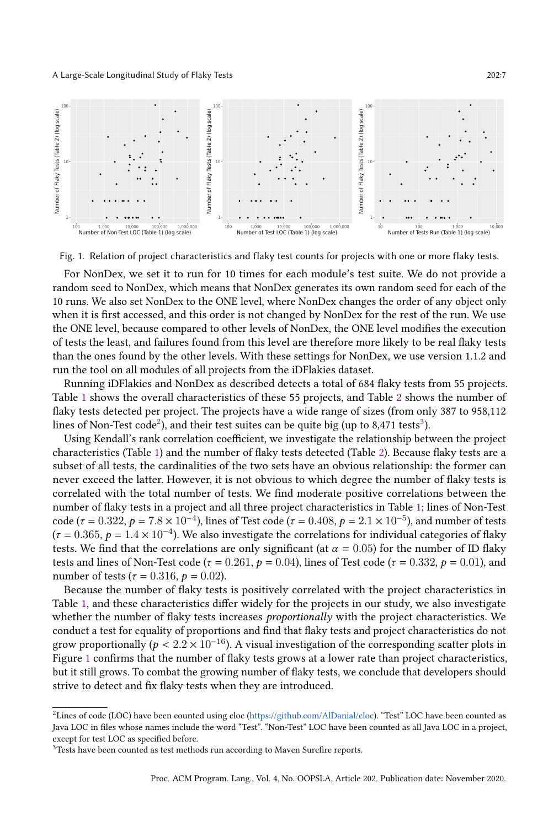<span id="page-6-2"></span>

Fig. 1. Relation of project characteristics and flaky test counts for projects with one or more flaky tests.

For NonDex, we set it to run for 10 times for each module's test suite. We do not provide a random seed to NonDex, which means that NonDex generates its own random seed for each of the 10 runs. We also set NonDex to the ONE level, where NonDex changes the order of any object only when it is first accessed, and this order is not changed by NonDex for the rest of the run. We use the ONE level, because compared to other levels of NonDex, the ONE level modifies the execution of tests the least, and failures found from this level are therefore more likely to be real flaky tests than the ones found by the other levels. With these settings for NonDex, we use version 1.1.2 and run the tool on all modules of all projects from the iDFlakies dataset.

Running iDFlakies and NonDex as described detects a total of 684 flaky tests from 55 projects. Table [1](#page-7-1) shows the overall characteristics of these 55 projects, and Table [2](#page-14-0) shows the number of flaky tests detected per project. The projects have a wide range of sizes (from only 387 to 958,112 lines of Non-Test code $^2$  $^2$ ), and their test suites can be quite big (up to 8,471 tests $^3$  $^3$ ).

Using Kendall's rank correlation coefficient, we investigate the relationship between the project characteristics (Table [1\)](#page-7-1) and the number of flaky tests detected (Table [2\)](#page-14-0). Because flaky tests are a subset of all tests, the cardinalities of the two sets have an obvious relationship: the former can never exceed the latter. However, it is not obvious to which degree the number of flaky tests is correlated with the total number of tests. We find moderate positive correlations between the number of flaky tests in a project and all three project characteristics in Table [1;](#page-7-1) lines of Non-Test code (τ = 0.322, p = 7.8 × 10<sup>-4</sup>), lines of Test code (τ = 0.408, p = 2.1 × 10<sup>-5</sup>), and number of tests  $(\tau = 0.365, p = 1.4 \times 10^{-4})$ . We also investigate the correlations for individual categories of flaky tests. We find that the correlations are only significant (at  $\alpha = 0.05$ ) for the number of ID flaky tests and lines of Non-Test code ( $\tau = 0.261$ ,  $p = 0.04$ ), lines of Test code ( $\tau = 0.332$ ,  $p = 0.01$ ), and number of tests ( $\tau = 0.316$ ,  $p = 0.02$ ).

Because the number of flaky tests is positively correlated with the project characteristics in Table [1,](#page-7-1) and these characteristics differ widely for the projects in our study, we also investigate whether the number of flaky tests increases proportionally with the project characteristics. We conduct a test for equality of proportions and find that flaky tests and project characteristics do not grow proportionally ( $p < 2.2 \times 10^{-16}$ ). A visual investigation of the corresponding scatter plots in Figure [1](#page-6-2) confirms that the number of flaky tests grows at a lower rate than project characteristics, but it still grows. To combat the growing number of flaky tests, we conclude that developers should strive to detect and fix flaky tests when they are introduced.

<span id="page-6-0"></span> ${}^{2}$ Lines of code (LOC) have been counted using cloc [\(https://github.com/AlDanial/cloc\)](https://github.com/AlDanial/cloc). "Test" LOC have been counted as Java LOC in files whose names include the word "Test". "Non-Test" LOC have been counted as all Java LOC in a project, except for test LOC as specified before.

<span id="page-6-1"></span><sup>&</sup>lt;sup>3</sup>Tests have been counted as test methods run according to Maven Surefire reports.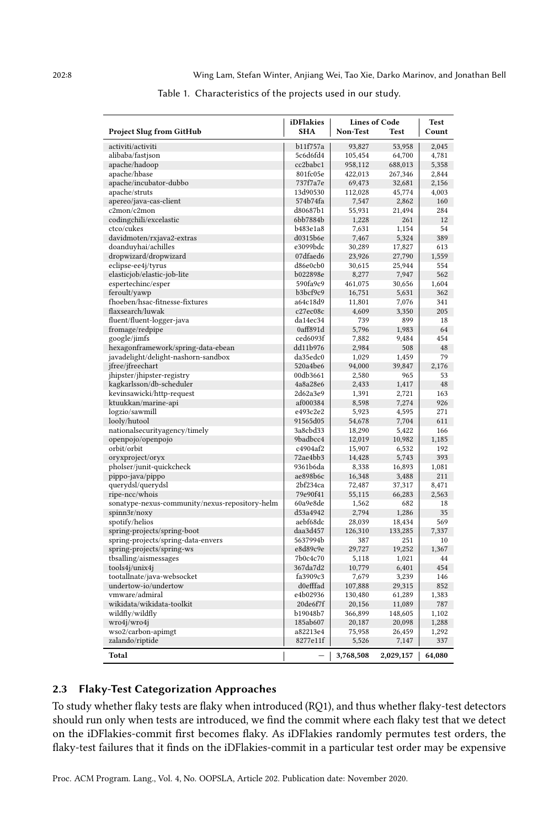<span id="page-7-1"></span>

|                                                | iDFlakies  | <b>Lines of Code</b> | <b>Test</b> |          |
|------------------------------------------------|------------|----------------------|-------------|----------|
| <b>Project Slug from GitHub</b>                | <b>SHA</b> | Non-Test             | Test        | Count    |
| activiti/activiti                              | b11f757a   | 93,827               | 53,958      | 2,045    |
| alibaba/fastjson                               | 5c6d6fd4   | 105,454              | 64,700      | 4,781    |
| apache/hadoop                                  | cc2babc1   | 958,112              | 688,013     | 5,358    |
| apache/hbase                                   | 801fc05e   | 422,013              | 267,346     | 2,844    |
| apache/incubator-dubbo                         | 737f7a7e   | 69,473               | 32,681      | 2,156    |
| apache/struts                                  | 13d90530   | 112,028              | 45,774      | 4,003    |
| apereo/java-cas-client                         | 574b74fa   | 7,547                | 2,862       | 160      |
| c2mon/c2mon                                    | d80687b1   | 55,931               | 21,494      | 284      |
| codingchili/excelastic                         | 6bb7884b   | 1,228                | 261         | 12       |
| ctco/cukes                                     | b483e1a8   | 7,631                | 1,154       | 54       |
| davidmoten/rxjava2-extras                      | d0315b6e   | 7,467                | 5,324       | 389      |
| doanduyhai/achilles                            | e3099bdc   | 30,289               | 17,827      | 613      |
| dropwizard/dropwizard                          | 07dfaed6   | 23,926               | 27,790      | 1,559    |
| eclipse-ee4j/tyrus                             | d86e0cb0   | 30,615               | 25,944      | 554      |
| elasticjob/elastic-job-lite                    | b022898e   | 8,277                | 7,947       | 562      |
| espertechinc/esper                             | 590fa9c9   | 461,075              | 30,656      | 1,604    |
| feroult/yawp                                   | b3bcf9c9   | 16,751               | 5,631       | 362      |
| fhoeben/hsac-fitnesse-fixtures                 | a64c18d9   | 11,801               | 7,076       | 341      |
| flaxsearch/luwak                               | c27ec08c   | 4,609                | 3,350       | 205      |
| fluent/fluent-logger-java                      | da14ec34   | 739                  | 899         | 18       |
| fromage/redpipe                                | 0aff891d   | 5,796                | 1,983       | 64       |
| google/jimfs                                   | ced6093f   | 7,882                | 9,484       | 454      |
| hexagonframework/spring-data-ebean             | dd11b976   | 2,984                | 508         | 48       |
| javadelight/delight-nashorn-sandbox            | da35edc0   | 1,029                | 1,459       | 79       |
| jfree/jfreechart                               | 520a4be6   | 94,000               | 39,847      | 2,176    |
| jhipster/jhipster-registry                     | 00db3661   | 2,580                | 965         | 53       |
| kagkarlsson/db-scheduler                       | 4a8a28e6   | 2,433                | 1,417       | 48       |
| kevinsawicki/http-request                      | 2d62a3e9   | 1,391                | 2,721       | 163      |
| ktuukkan/marine-api                            | af000384   | 8,598                | 7,274       | 926      |
| logzio/sawmill                                 | e493c2e2   | 5,923                | 4,595       | 271      |
| looly/hutool                                   | 91565d05   | 54,678               | 7,704       | 611      |
| nationalsecurityagency/timely                  | 3a8cbd33   | 18,290               | 5,422       | 166      |
| openpojo/openpojo                              | 9badbcc4   | 12,019               | 10,982      | 1,185    |
| orbit/orbit                                    | c4904af2   | 15,907               | 6,532       | 192      |
| oryxproject/oryx                               | 72ae4bb3   | 14,428               | 5,743       | 393      |
| pholser/junit-quickcheck                       | 9361b6da   | 8,338                | 16,893      | 1,081    |
|                                                | ae898b6c   | 16,348               | 3,488       | 211      |
| pippo-java/pippo                               | 2bf234ca   | 72,487               | 37,317      | 8,471    |
| querydsl/querydsl                              | 79e90f41   |                      |             | 2,563    |
| ripe-ncc/whois                                 | 60a9e8de   | 55,115               | 66,283      |          |
| sonatype-nexus-community/nexus-repository-helm | d53a4942   | 1,562                | 682         | 18<br>35 |
| spinn3r/noxy                                   |            | 2,794                | 1,286       |          |
| spotify/helios                                 | aebf68dc   | 28,039               | 18,434      | 569      |
| spring-projects/spring-boot                    | daa3d457   | 126,310              | 133,285     | 7,337    |
| spring-projects/spring-data-envers             | 5637994b   | 387                  | 251         | 10       |
| spring-projects/spring-ws                      | e8d89c9e   | 29,727               | 19,252      | 1,367    |
| tbsalling/aismessages                          | 7b0c4c70   | 5,118                | 1,021       | 44       |
| tools4j/unix4j                                 | 367da7d2   | 10,779               | 6,401       | 454      |
| tootallnate/java-websocket                     | fa3909c3   | 7,679                | 3,239       | 146      |
| undertow-io/undertow                           | d0efffad   | 107,888              | 29,315      | 852      |
| vmware/admiral                                 | e4b02936   | 130,480              | 61,289      | 1,383    |
| wikidata/wikidata-toolkit                      | 20de6f7f   | 20,156               | 11,089      | 787      |
| wildfly/wildfly                                | b19048b7   | 366,899              | 148,605     | 1,102    |
| wro4j/wro4j                                    | 185ab607   | 20,187               | 20,098      | 1,288    |
| wso2/carbon-apimgt                             | a82213e4   | 75,958               | 26,459      | 1,292    |
| zalando/riptide                                | 8277e11f   | 5,526                | 7,147       | 337      |
| Total                                          |            | 3,768,508            | 2,029,157   | 64.080   |

#### Table 1. Characteristics of the projects used in our study.

#### <span id="page-7-0"></span>2.3 Flaky-Test Categorization Approaches

To study whether flaky tests are flaky when introduced (RQ1), and thus whether flaky-test detectors should run only when tests are introduced, we find the commit where each flaky test that we detect on the iDFlakies-commit first becomes flaky. As iDFlakies randomly permutes test orders, the flaky-test failures that it finds on the iDFlakies-commit in a particular test order may be expensive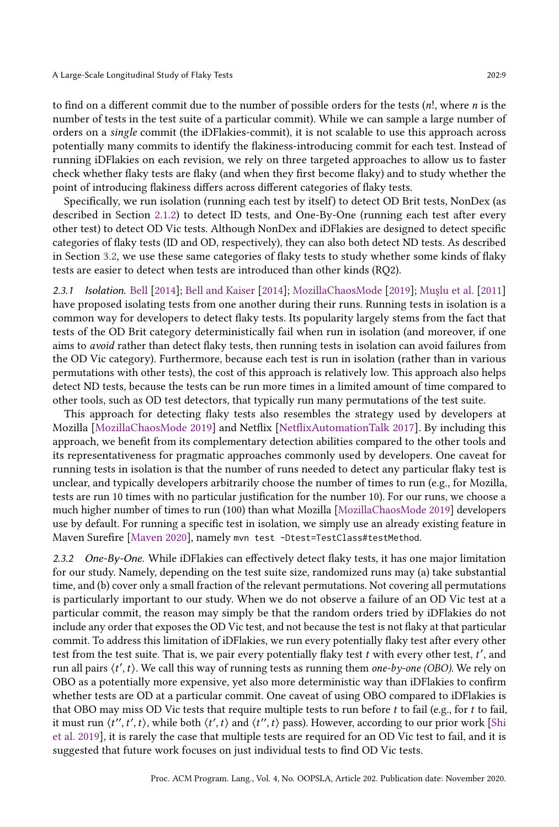to find on a different commit due to the number of possible orders for the tests  $(n!)$ , where *n* is the number of tests in the test suite of a particular commit). While we can sample a large number of orders on a single commit (the iDFlakies-commit), it is not scalable to use this approach across potentially many commits to identify the flakiness-introducing commit for each test. Instead of running iDFlakies on each revision, we rely on three targeted approaches to allow us to faster check whether flaky tests are flaky (and when they first become flaky) and to study whether the point of introducing flakiness differs across different categories of flaky tests.

Specifically, we run isolation (running each test by itself) to detect OD Brit tests, NonDex (as described in Section [2.1.2\)](#page-4-1) to detect ID tests, and One-By-One (running each test after every other test) to detect OD Vic tests. Although NonDex and iDFlakies are designed to detect specific categories of flaky tests (ID and OD, respectively), they can also both detect ND tests. As described in Section [3.2,](#page-10-0) we use these same categories of flaky tests to study whether some kinds of flaky tests are easier to detect when tests are introduced than other kinds (RQ2).

2.3.1 Isolation. [Bell](#page-27-24) [\[2014\]](#page-27-24); [Bell and Kaiser](#page-27-25) [\[2014\]](#page-27-25); [MozillaChaosMode](#page-28-10) [\[2019\]](#page-28-10); [Muşlu et al.](#page-28-15) [\[2011\]](#page-28-15) have proposed isolating tests from one another during their runs. Running tests in isolation is a common way for developers to detect flaky tests. Its popularity largely stems from the fact that tests of the OD Brit category deterministically fail when run in isolation (and moreover, if one aims to avoid rather than detect flaky tests, then running tests in isolation can avoid failures from the OD Vic category). Furthermore, because each test is run in isolation (rather than in various permutations with other tests), the cost of this approach is relatively low. This approach also helps detect ND tests, because the tests can be run more times in a limited amount of time compared to other tools, such as OD test detectors, that typically run many permutations of the test suite.

This approach for detecting flaky tests also resembles the strategy used by developers at Mozilla [\[MozillaChaosMode 2019\]](#page-28-10) and Netflix [\[NetflixAutomationTalk 2017\]](#page-28-4). By including this approach, we benefit from its complementary detection abilities compared to the other tools and its representativeness for pragmatic approaches commonly used by developers. One caveat for running tests in isolation is that the number of runs needed to detect any particular flaky test is unclear, and typically developers arbitrarily choose the number of times to run (e.g., for Mozilla, tests are run 10 times with no particular justification for the number 10). For our runs, we choose a much higher number of times to run (100) than what Mozilla [\[MozillaChaosMode 2019\]](#page-28-10) developers use by default. For running a specific test in isolation, we simply use an already existing feature in Maven Surefire [\[Maven 2020\]](#page-27-26), namely mvn test -Dtest=TestClass#testMethod.

2.3.2 One-By-One. While iDFlakies can effectively detect flaky tests, it has one major limitation for our study. Namely, depending on the test suite size, randomized runs may (a) take substantial time, and (b) cover only a small fraction of the relevant permutations. Not covering all permutations is particularly important to our study. When we do not observe a failure of an OD Vic test at a particular commit, the reason may simply be that the random orders tried by iDFlakies do not include any order that exposes the OD Vic test, and not because the test is not flaky at that particular commit. To address this limitation of iDFlakies, we run every potentially flaky test after every other test from the test suite. That is, we pair every potentially flaky test  $t$  with every other test,  $t'$ , and run all pairs  $\langle t',t\rangle$ . We call this way of running tests as running them one-by-one (OBO). We rely on OBO as a potentially more expensive, yet also more deterministic way than iDFlakies to confirm whether tests are OD at a particular commit. One caveat of using OBO compared to iDFlakies is that OBO may miss OD Vic tests that require multiple tests to run before  $t$  to fail (e.g., for  $t$  to fail, it must run  $\langle t'', t', t \rangle$ , while both  $\langle t', t \rangle$  and  $\langle t'', t \rangle$  pass). However, according to our prior work [\[Shi](#page-28-14) [et al.](#page-28-14) [2019\]](#page-28-14), it is rarely the case that multiple tests are required for an OD Vic test to fail, and it is suggested that future work focuses on just individual tests to find OD Vic tests.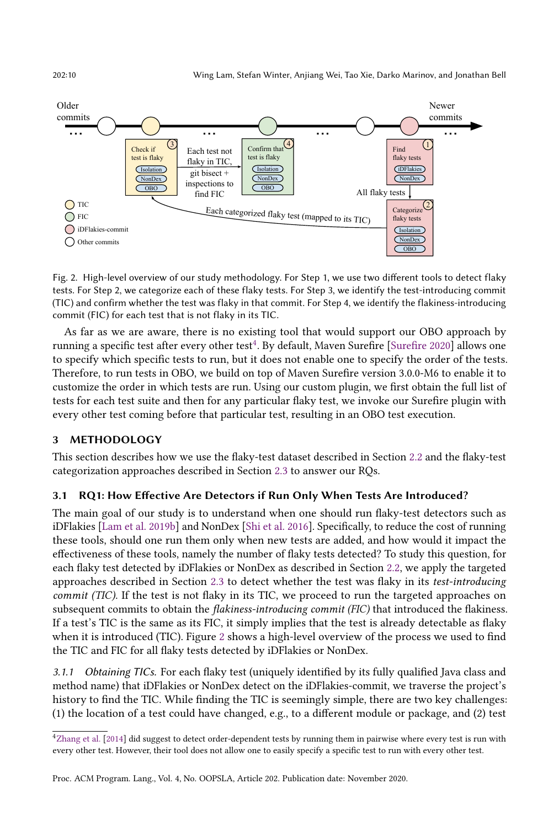202:10 Wing Lam, Stefan Winter, Anjiang Wei, Tao Xie, Darko Marinov, and Jonathan Bell

<span id="page-9-1"></span>

Fig. 2. High-level overview of our study methodology. For Step 1, we use two different tools to detect flaky tests. For Step 2, we categorize each of these flaky tests. For Step 3, we identify the test-introducing commit (TIC) and confirm whether the test was flaky in that commit. For Step 4, we identify the flakiness-introducing commit (FIC) for each test that is not flaky in its TIC.

As far as we are aware, there is no existing tool that would support our OBO approach by running a specific test after every other test $^4$  $^4$ . By default, Maven Surefire [\[Surefire 2020\]](#page-28-16) allows one to specify which specific tests to run, but it does not enable one to specify the order of the tests. Therefore, to run tests in OBO, we build on top of Maven Surefire version 3.0.0-M6 to enable it to customize the order in which tests are run. Using our custom plugin, we first obtain the full list of tests for each test suite and then for any particular flaky test, we invoke our Surefire plugin with every other test coming before that particular test, resulting in an OBO test execution.

## 3 METHODOLOGY

This section describes how we use the flaky-test dataset described in Section [2.2](#page-5-0) and the flaky-test categorization approaches described in Section [2.3](#page-7-0) to answer our RQs.

## <span id="page-9-2"></span>3.1 RQ1: How Effective Are Detectors if Run Only When Tests Are Introduced?

The main goal of our study is to understand when one should run flaky-test detectors such as iDFlakies [\[Lam et al.](#page-27-17) [2019b\]](#page-27-17) and NonDex [\[Shi et al.](#page-28-11) [2016\]](#page-28-11). Specifically, to reduce the cost of running these tools, should one run them only when new tests are added, and how would it impact the effectiveness of these tools, namely the number of flaky tests detected? To study this question, for each flaky test detected by iDFlakies or NonDex as described in Section [2.2,](#page-5-0) we apply the targeted approaches described in Section [2.3](#page-7-0) to detect whether the test was flaky in its test-introducing commit (TIC). If the test is not flaky in its TIC, we proceed to run the targeted approaches on subsequent commits to obtain the *flakiness-introducing commit (FIC)* that introduced the flakiness. If a test's TIC is the same as its FIC, it simply implies that the test is already detectable as flaky when it is introduced (TIC). Figure [2](#page-9-1) shows a high-level overview of the process we used to find the TIC and FIC for all flaky tests detected by iDFlakies or NonDex.

<span id="page-9-3"></span>3.1.1 Obtaining TICs. For each flaky test (uniquely identified by its fully qualified Java class and method name) that iDFlakies or NonDex detect on the iDFlakies-commit, we traverse the project's history to find the TIC. While finding the TIC is seemingly simple, there are two key challenges: (1) the location of a test could have changed, e.g., to a different module or package, and (2) test

<span id="page-9-0"></span><sup>4</sup>[Zhang et al.](#page-28-12) [\[2014\]](#page-28-12) did suggest to detect order-dependent tests by running them in pairwise where every test is run with every other test. However, their tool does not allow one to easily specify a specific test to run with every other test.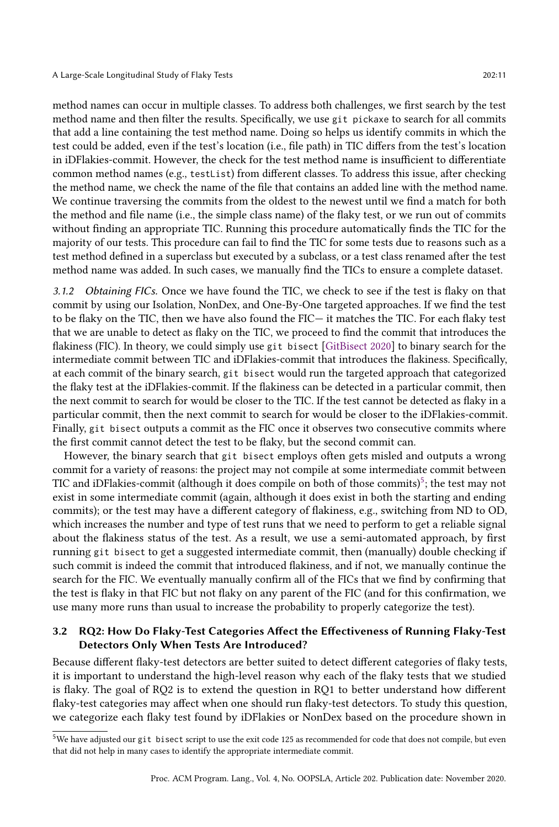method names can occur in multiple classes. To address both challenges, we first search by the test method name and then filter the results. Specifically, we use git pickaxe to search for all commits that add a line containing the test method name. Doing so helps us identify commits in which the test could be added, even if the test's location (i.e., file path) in TIC differs from the test's location in iDFlakies-commit. However, the check for the test method name is insufficient to differentiate common method names (e.g., testList) from different classes. To address this issue, after checking the method name, we check the name of the file that contains an added line with the method name. We continue traversing the commits from the oldest to the newest until we find a match for both the method and file name (i.e., the simple class name) of the flaky test, or we run out of commits without finding an appropriate TIC. Running this procedure automatically finds the TIC for the majority of our tests. This procedure can fail to find the TIC for some tests due to reasons such as a test method defined in a superclass but executed by a subclass, or a test class renamed after the test method name was added. In such cases, we manually find the TICs to ensure a complete dataset.

<span id="page-10-2"></span>3.1.2 Obtaining FICs. Once we have found the TIC, we check to see if the test is flaky on that commit by using our Isolation, NonDex, and One-By-One targeted approaches. If we find the test to be flaky on the TIC, then we have also found the FIC- it matches the TIC. For each flaky test that we are unable to detect as flaky on the TIC, we proceed to find the commit that introduces the flakiness (FIC). In theory, we could simply use git bisect [\[GitBisect 2020\]](#page-27-27) to binary search for the intermediate commit between TIC and iDFlakies-commit that introduces the flakiness. Specifically, at each commit of the binary search, git bisect would run the targeted approach that categorized the flaky test at the iDFlakies-commit. If the flakiness can be detected in a particular commit, then the next commit to search for would be closer to the TIC. If the test cannot be detected as flaky in a particular commit, then the next commit to search for would be closer to the iDFlakies-commit. Finally, git bisect outputs a commit as the FIC once it observes two consecutive commits where the first commit cannot detect the test to be flaky, but the second commit can.

However, the binary search that git bisect employs often gets misled and outputs a wrong commit for a variety of reasons: the project may not compile at some intermediate commit between TIC and iDFlakies-commit (although it does compile on both of those commits)<sup>[5](#page-10-1)</sup>; the test may not exist in some intermediate commit (again, although it does exist in both the starting and ending commits); or the test may have a different category of flakiness, e.g., switching from ND to OD, which increases the number and type of test runs that we need to perform to get a reliable signal about the flakiness status of the test. As a result, we use a semi-automated approach, by first running git bisect to get a suggested intermediate commit, then (manually) double checking if such commit is indeed the commit that introduced flakiness, and if not, we manually continue the search for the FIC. We eventually manually confirm all of the FICs that we find by confirming that the test is flaky in that FIC but not flaky on any parent of the FIC (and for this confirmation, we use many more runs than usual to increase the probability to properly categorize the test).

### <span id="page-10-0"></span>3.2 RQ2: How Do Flaky-Test Categories Affect the Effectiveness of Running Flaky-Test Detectors Only When Tests Are Introduced?

Because different flaky-test detectors are better suited to detect different categories of flaky tests, it is important to understand the high-level reason why each of the flaky tests that we studied is flaky. The goal of RQ2 is to extend the question in RQ1 to better understand how different flaky-test categories may affect when one should run flaky-test detectors. To study this question, we categorize each flaky test found by iDFlakies or NonDex based on the procedure shown in

<span id="page-10-1"></span><sup>5</sup>We have adjusted our git bisect script to use the exit code 125 as recommended for code that does not compile, but even that did not help in many cases to identify the appropriate intermediate commit.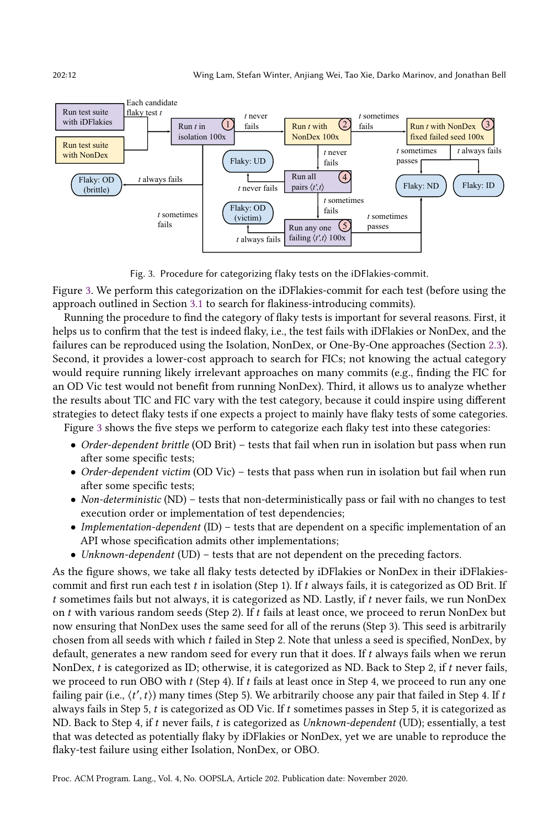<span id="page-11-0"></span>

Fig. 3. Procedure for categorizing flaky tests on the iDFlakies-commit.

Figure [3.](#page-11-0) We perform this categorization on the iDFlakies-commit for each test (before using the approach outlined in Section [3.1](#page-9-2) to search for flakiness-introducing commits).

Running the procedure to find the category of flaky tests is important for several reasons. First, it helps us to confirm that the test is indeed flaky, i.e., the test fails with iDFlakies or NonDex, and the failures can be reproduced using the Isolation, NonDex, or One-By-One approaches (Section [2.3\)](#page-7-0). Second, it provides a lower-cost approach to search for FICs; not knowing the actual category would require running likely irrelevant approaches on many commits (e.g., finding the FIC for an OD Vic test would not benefit from running NonDex). Third, it allows us to analyze whether the results about TIC and FIC vary with the test category, because it could inspire using different strategies to detect flaky tests if one expects a project to mainly have flaky tests of some categories.

Figure [3](#page-11-0) shows the five steps we perform to categorize each flaky test into these categories:

- Order-dependent brittle (OD Brit) tests that fail when run in isolation but pass when run after some specific tests;
- Order-dependent victim (OD Vic) tests that pass when run in isolation but fail when run after some specific tests;
- Non-deterministic (ND) tests that non-deterministically pass or fail with no changes to test execution order or implementation of test dependencies;
- Implementation-dependent (ID)  $-$  tests that are dependent on a specific implementation of an API whose specification admits other implementations;
- Unknown-dependent (UD) tests that are not dependent on the preceding factors.

As the figure shows, we take all flaky tests detected by iDFlakies or NonDex in their iDFlakiescommit and first run each test  $t$  in isolation (Step 1). If  $t$  always fails, it is categorized as OD Brit. If  $t$  sometimes fails but not always, it is categorized as ND. Lastly, if  $t$  never fails, we run NonDex on  $t$  with various random seeds (Step 2). If  $t$  fails at least once, we proceed to rerun NonDex but now ensuring that NonDex uses the same seed for all of the reruns (Step 3). This seed is arbitrarily chosen from all seeds with which failed in Step 2. Note that unless a seed is specified, NonDex, by default, generates a new random seed for every run that it does. If  $t$  always fails when we rerun NonDex,  $t$  is categorized as ID; otherwise, it is categorized as ND. Back to Step 2, if  $t$  never fails, we proceed to run OBO with  $t$  (Step 4). If  $t$  fails at least once in Step 4, we proceed to run any one failing pair (i.e.,  $\langle t',t\rangle$ ) many times (Step 5). We arbitrarily choose any pair that failed in Step 4. If  $t$ always fails in Step 5,  $t$  is categorized as OD Vic. If  $t$  sometimes passes in Step 5, it is categorized as ND. Back to Step 4, if  $t$  never fails,  $t$  is categorized as Unknown-dependent (UD); essentially, a test that was detected as potentially flaky by iDFlakies or NonDex, yet we are unable to reproduce the flaky-test failure using either Isolation, NonDex, or OBO.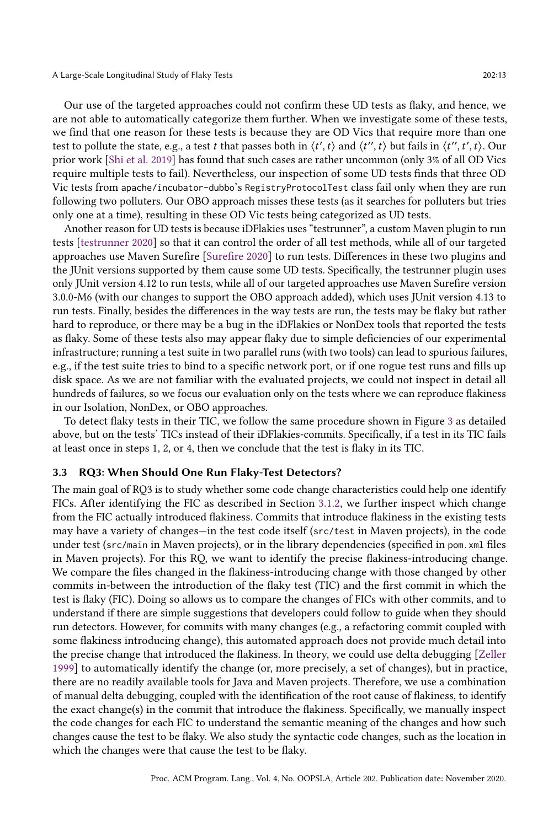Our use of the targeted approaches could not confirm these UD tests as flaky, and hence, we are not able to automatically categorize them further. When we investigate some of these tests, we find that one reason for these tests is because they are OD Vics that require more than one test to pollute the state, e.g., a test *t* that passes both in  $\langle t', t \rangle$  and  $\langle t'', t' \rangle$  but fails in  $\langle t'', t', t \rangle$ . Our prior work [\[Shi et al.](#page-28-14) [2019\]](#page-28-14) has found that such cases are rather uncommon (only 3% of all OD Vics require multiple tests to fail). Nevertheless, our inspection of some UD tests finds that three OD Vic tests from apache/incubator-dubbo's RegistryProtocolTest class fail only when they are run following two polluters. Our OBO approach misses these tests (as it searches for polluters but tries only one at a time), resulting in these OD Vic tests being categorized as UD tests.

Another reason for UD tests is because iDFlakies uses "testrunner", a custom Maven plugin to run tests [\[testrunner 2020\]](#page-28-17) so that it can control the order of all test methods, while all of our targeted approaches use Maven Surefire [\[Surefire 2020\]](#page-28-16) to run tests. Differences in these two plugins and the JUnit versions supported by them cause some UD tests. Specifically, the testrunner plugin uses only JUnit version 4.12 to run tests, while all of our targeted approaches use Maven Surefire version 3.0.0-M6 (with our changes to support the OBO approach added), which uses JUnit version 4.13 to run tests. Finally, besides the differences in the way tests are run, the tests may be flaky but rather hard to reproduce, or there may be a bug in the iDFlakies or NonDex tools that reported the tests as flaky. Some of these tests also may appear flaky due to simple deficiencies of our experimental infrastructure; running a test suite in two parallel runs (with two tools) can lead to spurious failures, e.g., if the test suite tries to bind to a specific network port, or if one rogue test runs and fills up disk space. As we are not familiar with the evaluated projects, we could not inspect in detail all hundreds of failures, so we focus our evaluation only on the tests where we can reproduce flakiness in our Isolation, NonDex, or OBO approaches.

To detect flaky tests in their TIC, we follow the same procedure shown in Figure [3](#page-11-0) as detailed above, but on the tests' TICs instead of their iDFlakies-commits. Specifically, if a test in its TIC fails at least once in steps 1, 2, or 4, then we conclude that the test is flaky in its TIC.

#### 3.3 RQ3: When Should One Run Flaky-Test Detectors?

The main goal of RQ3 is to study whether some code change characteristics could help one identify FICs. After identifying the FIC as described in Section [3.1.2,](#page-10-2) we further inspect which change from the FIC actually introduced flakiness. Commits that introduce flakiness in the existing tests may have a variety of changes—in the test code itself (src/test in Maven projects), in the code under test (src/main in Maven projects), or in the library dependencies (specified in pom.xml files in Maven projects). For this RQ, we want to identify the precise flakiness-introducing change. We compare the files changed in the flakiness-introducing change with those changed by other commits in-between the introduction of the flaky test (TIC) and the first commit in which the test is flaky (FIC). Doing so allows us to compare the changes of FICs with other commits, and to understand if there are simple suggestions that developers could follow to guide when they should run detectors. However, for commits with many changes (e.g., a refactoring commit coupled with some flakiness introducing change), this automated approach does not provide much detail into the precise change that introduced the flakiness. In theory, we could use delta debugging [\[Zeller](#page-28-18) [1999\]](#page-28-18) to automatically identify the change (or, more precisely, a set of changes), but in practice, there are no readily available tools for Java and Maven projects. Therefore, we use a combination of manual delta debugging, coupled with the identification of the root cause of flakiness, to identify the exact change(s) in the commit that introduce the flakiness. Specifically, we manually inspect the code changes for each FIC to understand the semantic meaning of the changes and how such changes cause the test to be flaky. We also study the syntactic code changes, such as the location in which the changes were that cause the test to be flaky.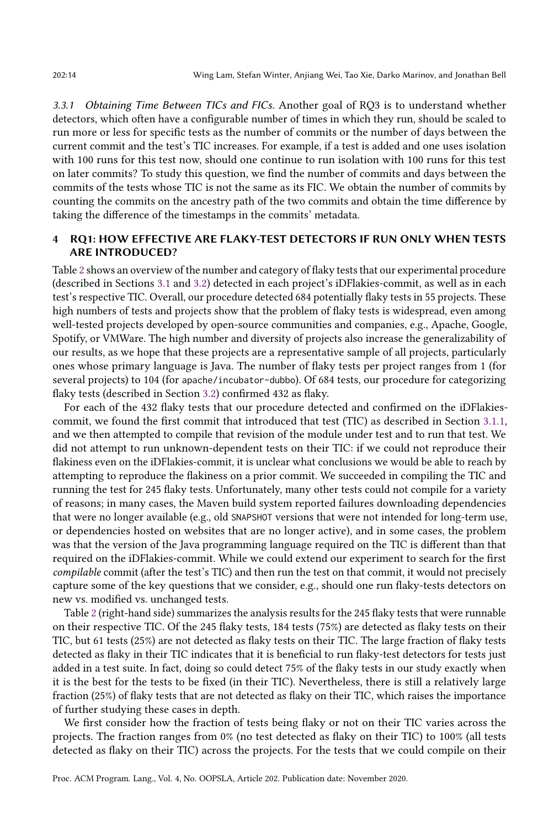<span id="page-13-1"></span>3.3.1 Obtaining Time Between TICs and FICs. Another goal of RQ3 is to understand whether detectors, which often have a configurable number of times in which they run, should be scaled to run more or less for specific tests as the number of commits or the number of days between the current commit and the test's TIC increases. For example, if a test is added and one uses isolation with 100 runs for this test now, should one continue to run isolation with 100 runs for this test on later commits? To study this question, we find the number of commits and days between the commits of the tests whose TIC is not the same as its FIC. We obtain the number of commits by counting the commits on the ancestry path of the two commits and obtain the time difference by taking the difference of the timestamps in the commits' metadata.

## <span id="page-13-0"></span>4 RQ1: HOW EFFECTIVE ARE FLAKY-TEST DETECTORS IF RUN ONLY WHEN TESTS ARE INTRODUCED?

Table [2](#page-14-0) shows an overview of the number and category of flaky tests that our experimental procedure (described in Sections [3.1](#page-9-2) and [3.2\)](#page-10-0) detected in each project's iDFlakies-commit, as well as in each test's respective TIC. Overall, our procedure detected 684 potentially flaky tests in 55 projects. These high numbers of tests and projects show that the problem of flaky tests is widespread, even among well-tested projects developed by open-source communities and companies, e.g., Apache, Google, Spotify, or VMWare. The high number and diversity of projects also increase the generalizability of our results, as we hope that these projects are a representative sample of all projects, particularly ones whose primary language is Java. The number of flaky tests per project ranges from 1 (for several projects) to 104 (for apache/incubator-dubbo). Of 684 tests, our procedure for categorizing flaky tests (described in Section [3.2\)](#page-10-0) confirmed 432 as flaky.

For each of the 432 flaky tests that our procedure detected and confirmed on the iDFlakiescommit, we found the first commit that introduced that test (TIC) as described in Section [3.1.1,](#page-9-3) and we then attempted to compile that revision of the module under test and to run that test. We did not attempt to run unknown-dependent tests on their TIC: if we could not reproduce their flakiness even on the iDFlakies-commit, it is unclear what conclusions we would be able to reach by attempting to reproduce the flakiness on a prior commit. We succeeded in compiling the TIC and running the test for 245 flaky tests. Unfortunately, many other tests could not compile for a variety of reasons; in many cases, the Maven build system reported failures downloading dependencies that were no longer available (e.g., old SNAPSHOT versions that were not intended for long-term use, or dependencies hosted on websites that are no longer active), and in some cases, the problem was that the version of the Java programming language required on the TIC is different than that required on the iDFlakies-commit. While we could extend our experiment to search for the first compilable commit (after the test's TIC) and then run the test on that commit, it would not precisely capture some of the key questions that we consider, e.g., should one run flaky-tests detectors on new vs. modified vs. unchanged tests.

Table [2](#page-14-0) (right-hand side) summarizes the analysis results for the 245 flaky tests that were runnable on their respective TIC. Of the 245 flaky tests, 184 tests (75%) are detected as flaky tests on their TIC, but 61 tests (25%) are not detected as flaky tests on their TIC. The large fraction of flaky tests detected as flaky in their TIC indicates that it is beneficial to run flaky-test detectors for tests just added in a test suite. In fact, doing so could detect 75% of the flaky tests in our study exactly when it is the best for the tests to be fixed (in their TIC). Nevertheless, there is still a relatively large fraction (25%) of flaky tests that are not detected as flaky on their TIC, which raises the importance of further studying these cases in depth.

We first consider how the fraction of tests being flaky or not on their TIC varies across the projects. The fraction ranges from 0% (no test detected as flaky on their TIC) to 100% (all tests detected as flaky on their TIC) across the projects. For the tests that we could compile on their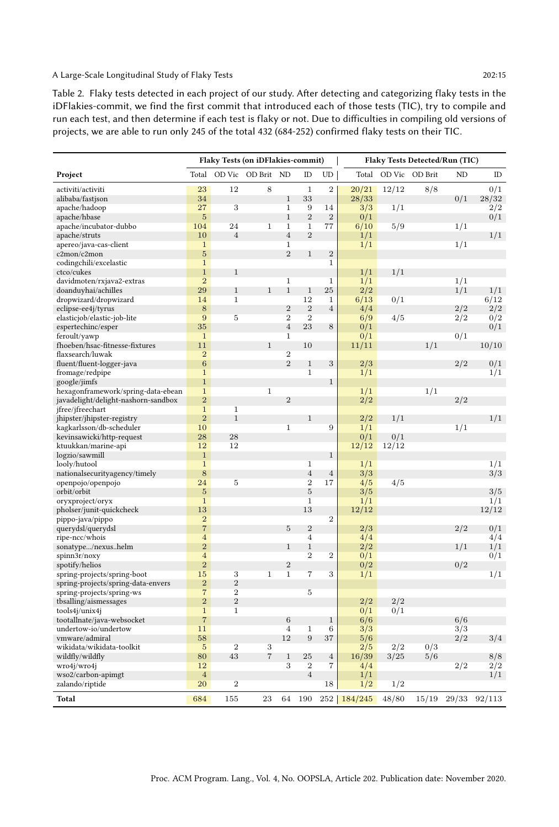<span id="page-14-0"></span>Table 2. Flaky tests detected in each project of our study. After detecting and categorizing flaky tests in the iDFlakies-commit, we find the first commit that introduced each of those tests (TIC), try to compile and run each test, and then determine if each test is flaky or not. Due to difficulties in compiling old versions of projects, we are able to run only 245 of the total 432 (684-252) confirmed flaky tests on their TIC.

|                                     |                         |                | Flaky Tests (on iDFlakies-commit) |                |                  |                | Flaky Tests Detected/Run (TIC) |        |         |       |        |
|-------------------------------------|-------------------------|----------------|-----------------------------------|----------------|------------------|----------------|--------------------------------|--------|---------|-------|--------|
| Project                             | Total                   | OD Vic         | OD Brit                           | ND             | ID               | UD             | Total                          | OD Vic | OD Brit | ND    | ID     |
| activiti/activiti                   | 23                      | 12             | 8                                 |                | $\mathbf{1}$     | $\overline{2}$ | 20/21                          | 12/12  | 8/8     |       | 0/1    |
| alibaba/fastison                    | 34                      |                |                                   | $1\,$          | 33               |                | 28/33                          |        |         | 0/1   | 28/32  |
| apache/hadoop                       | 27                      | 3              |                                   | $\mathbf 1$    | 9                | 14             | 3/3                            | 1/1    |         |       | 2/2    |
| apache/hbase                        | $\overline{5}$          |                |                                   | $\mathbf{1}$   | $\overline{2}$   | $\overline{2}$ | 0/1                            |        |         |       | 0/1    |
| apache/incubator-dubbo              | 104                     | 24             | $\mathbf{1}$                      | $\mathbf{1}$   | $\mathbf{1}$     | 77             | 6/10                           | 5/9    |         | 1/1   |        |
| apache/struts                       | 10                      | $\overline{4}$ |                                   | $\overline{4}$ | $\overline{2}$   |                | 1/1                            |        |         |       | 1/1    |
| apereo/java-cas-client              | $\mathbf{1}$            |                |                                   | $\mathbf{1}$   |                  |                | 1/1                            |        |         | 1/1   |        |
| c2mon/c2mon                         | $\overline{5}$          |                |                                   | 2              | $\mathbf{1}$     | $\overline{2}$ |                                |        |         |       |        |
| codingchili/excelastic              | $\,1$                   |                |                                   |                |                  | $\mathbf{1}$   |                                |        |         |       |        |
| ctco/cukes                          | $\,1\,$                 | $1\,$          |                                   |                |                  |                | 1/1                            | 1/1    |         |       |        |
| davidmoten/rxjava2-extras           | $\overline{2}$          |                |                                   | $\mathbf{1}$   |                  | $\mathbf 1$    | 1/1                            |        |         | 1/1   |        |
| doanduyhai/achilles                 | 29                      | $\mathbf{1}$   | $1\,$                             | $\mathbf{1}$   | $1\,$            | 25             | 2/2                            |        |         | 1/1   | 1/1    |
| dropwizard/dropwizard               | 14                      | $\mathbf{1}$   |                                   |                | 12               | $\mathbf{1}$   | 6/13                           | 0/1    |         |       | 6/12   |
| eclipse-ee4j/tyrus                  | 8                       |                |                                   | $\overline{2}$ | $\overline{2}$   | $\overline{4}$ | 4/4                            |        |         | 2/2   | 2/2    |
| elasticjob/elastic-job-lite         | 9                       | 5              |                                   | $\overline{2}$ | $\overline{2}$   |                | 6/9                            | 4/5    |         | 2/2   | 0/2    |
| espertechinc/esper                  | 35                      |                |                                   | $\overline{4}$ | 23               | 8              | 0/1                            |        |         |       | 0/1    |
| feroult/yawp                        | $\mathbf{1}$            |                |                                   | $\,1\,$        |                  |                | 0/1                            |        |         | 0/1   |        |
| fhoeben/hsac-fitnesse-fixtures      | 11                      |                | $\mathbf 1$                       |                | 10               |                | 11/11                          |        | 1/1     |       | 10/10  |
| flaxsearch/luwak                    | $\overline{2}$          |                |                                   | $\overline{2}$ |                  |                |                                |        |         |       |        |
| fluent/fluent-logger-java           | $\overline{6}$          |                |                                   | $\sqrt{2}$     | $1\,$            | 3              | 2/3                            |        |         | 2/2   | 0/1    |
| fromage/redpipe                     | $\mathbf{1}$            |                |                                   |                | $\mathbf{1}$     |                | 1/1                            |        |         |       | 1/1    |
| google/jimfs                        | $\mathbf{1}$            |                |                                   |                |                  | $\mathbf{1}$   |                                |        |         |       |        |
| hexagonframework/spring-data-ebean  | $\mathbf{1}$            |                | $\mathbf{1}$                      |                |                  |                | 1/1                            |        | 1/1     |       |        |
| javadelight/delight-nashorn-sandbox | $\overline{2}$          |                |                                   | $\sqrt{2}$     |                  |                | 2/2                            |        |         | 2/2   |        |
| jfree/jfreechart                    | $\mathbf{1}$            | $\mathbf{1}$   |                                   |                |                  |                |                                |        |         |       |        |
| jhipster/jhipster-registry          | $\overline{2}$          | $\mathbf{1}$   |                                   |                | 1                |                | 2/2                            | 1/1    |         |       | 1/1    |
| kagkarlsson/db-scheduler            | 10                      |                |                                   | $\mathbf{1}$   |                  | 9              | 1/1                            |        |         | 1/1   |        |
| kevinsawicki/http-request           | 28                      | 28             |                                   |                |                  |                | 0/1                            | 0/1    |         |       |        |
| ktuukkan/marine-api                 | 12                      | 12             |                                   |                |                  |                | 12/12                          | 12/12  |         |       |        |
| logzio/sawmill                      | $\overline{1}$          |                |                                   |                |                  | $\mathbf 1$    |                                |        |         |       |        |
| looly/hutool                        | $\mathbf{1}$            |                |                                   |                | $\overline{1}$   |                | 1/1                            |        |         |       | 1/1    |
| nationalsecurityagency/timely       | 8                       |                |                                   |                | $\overline{4}$   | $\overline{4}$ | 3/3                            |        |         |       | 3/3    |
| openpojo/openpojo                   | 24                      | 5              |                                   |                | $\overline{2}$   | 17             | 4/5                            | 4/5    |         |       |        |
| orbit/orbit                         | $\overline{5}$          |                |                                   |                | $\overline{5}$   |                | 3/5                            |        |         |       | 3/5    |
| oryxproject/oryx                    | $\,1$                   |                |                                   |                | $\overline{1}$   |                | 1/1                            |        |         |       | 1/1    |
| pholser/junit-quickcheck            | 13                      |                |                                   |                | 13               |                | 12/12                          |        |         |       | 12/12  |
| pippo-java/pippo                    | $\overline{2}$          |                |                                   |                |                  | $\overline{2}$ |                                |        |         |       |        |
| querydsl/querydsl                   | $\overline{7}$          |                |                                   | 5              | $\sqrt{2}$       |                | 2/3                            |        |         | 2/2   | 0/1    |
| ripe-ncc/whois                      | $\overline{4}$          |                |                                   |                | $\overline{4}$   |                | 4/4                            |        |         |       | 4/4    |
| sonatype/nexushelm                  | $\overline{2}$          |                |                                   | $\mathbf{1}$   | $\mathbf{1}$     |                | 2/2                            |        |         | 1/1   | 1/1    |
| spinn3r/noxy                        | $\overline{\mathbf{4}}$ |                |                                   |                | $\overline{2}$   | $\overline{2}$ | 0/1                            |        |         |       | 0/1    |
| spotify/helios                      | $\overline{2}$          |                |                                   | $\overline{2}$ |                  |                | 0/2                            |        |         | 0/2   |        |
| spring-projects/spring-boot         | 15                      | 3              | $\overline{1}$                    | $\,1\,$        | $\overline{7}$   | 3              | 1/1                            |        |         |       | 1/1    |
| spring-projects/spring-data-envers  | $\overline{2}$          | $\overline{2}$ |                                   |                |                  |                |                                |        |         |       |        |
| spring-projects/spring-ws           | $\overline{7}$          | $\overline{2}$ |                                   |                | $\overline{5}$   |                |                                |        |         |       |        |
| tbsalling/aismessages               | $\overline{2}$          | $\overline{2}$ |                                   |                |                  |                | 2/2                            | 2/2    |         |       |        |
| tools4j/unix4j                      | $\mathbf{1}$            | $\,1\,$        |                                   |                |                  |                | 0/1                            | 0/1    |         |       |        |
| tootallnate/java-websocket          | $\overline{7}$          |                |                                   | 6              |                  | $1\,$          | 6/6                            |        |         | 6/6   |        |
| undertow-io/undertow                | 11                      |                |                                   | $\overline{4}$ | $\,1$            | $\sqrt{6}$     | 3/3                            |        |         | 3/3   |        |
| vmware/admiral                      | 58                      |                |                                   | 12             | 9                | 37             | 5/6                            |        |         | 2/2   | 3/4    |
| wikidata/wikidata-toolkit           | $\overline{5}$          | $\overline{2}$ | 3                                 |                |                  |                | 2/5                            | 2/2    | 0/3     |       |        |
| wildfly/wildfly                     | 80                      | 43             | $\overline{7}$                    | $\mathbf{1}$   | 25               | $\,4\,$        | 16/39                          | 3/25   | 5/6     |       | 8/8    |
| wro4j/wro4j                         | 12                      |                |                                   | 3              | $\boldsymbol{2}$ | 7              | 4/4                            |        |         | 2/2   | 2/2    |
| wso2/carbon-apimgt                  | $\overline{4}$          |                |                                   |                | $\overline{4}$   |                | 1/1                            |        |         |       | 1/1    |
| zalando/riptide                     | 20                      | $\,2$          |                                   |                |                  | 18             | 1/2                            | 1/2    |         |       |        |
| Total                               | 684                     | 155            | 23                                | 64             | 190              | 252            | 184/245                        | 48/80  | 15/19   | 29/33 | 92/113 |
|                                     |                         |                |                                   |                |                  |                |                                |        |         |       |        |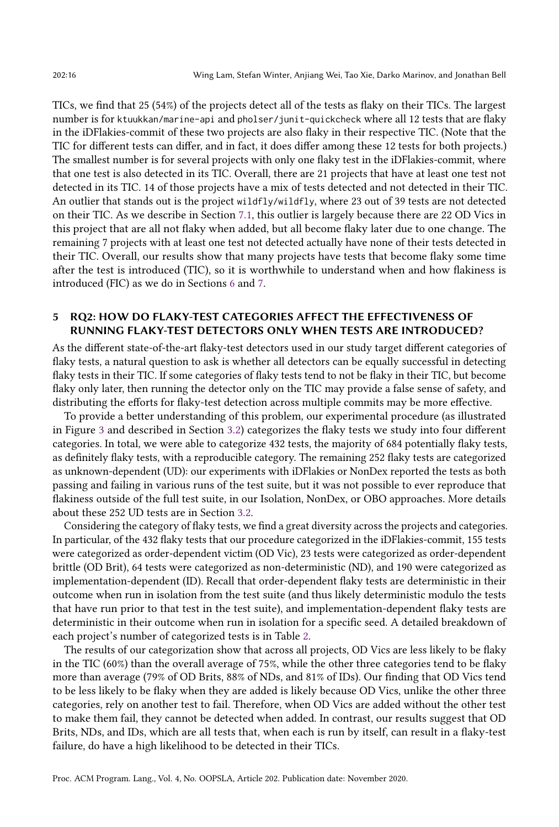TICs, we find that 25 (54%) of the projects detect all of the tests as flaky on their TICs. The largest number is for ktuukkan/marine-api and pholser/junit-quickcheck where all 12 tests that are flaky in the iDFlakies-commit of these two projects are also flaky in their respective TIC. (Note that the TIC for different tests can differ, and in fact, it does differ among these 12 tests for both projects.) The smallest number is for several projects with only one flaky test in the iDFlakies-commit, where that one test is also detected in its TIC. Overall, there are 21 projects that have at least one test not detected in its TIC. 14 of those projects have a mix of tests detected and not detected in their TIC. An outlier that stands out is the project wildfly/wildfly, where 23 out of 39 tests are not detected on their TIC. As we describe in Section [7.1,](#page-19-1) this outlier is largely because there are 22 OD Vics in this project that are all not flaky when added, but all become flaky later due to one change. The remaining 7 projects with at least one test not detected actually have none of their tests detected in their TIC. Overall, our results show that many projects have tests that become flaky some time after the test is introduced (TIC), so it is worthwhile to understand when and how flakiness is introduced (FIC) as we do in Sections [6](#page-17-0) and [7.](#page-19-0)

## <span id="page-15-0"></span>5 RQ2: HOW DO FLAKY-TEST CATEGORIES AFFECT THE EFFECTIVENESS OF RUNNING FLAKY-TEST DETECTORS ONLY WHEN TESTS ARE INTRODUCED?

As the different state-of-the-art flaky-test detectors used in our study target different categories of flaky tests, a natural question to ask is whether all detectors can be equally successful in detecting flaky tests in their TIC. If some categories of flaky tests tend to not be flaky in their TIC, but become flaky only later, then running the detector only on the TIC may provide a false sense of safety, and distributing the efforts for flaky-test detection across multiple commits may be more effective.

To provide a better understanding of this problem, our experimental procedure (as illustrated in Figure [3](#page-11-0) and described in Section [3.2\)](#page-10-0) categorizes the flaky tests we study into four different categories. In total, we were able to categorize 432 tests, the majority of 684 potentially flaky tests, as definitely flaky tests, with a reproducible category. The remaining 252 flaky tests are categorized as unknown-dependent (UD): our experiments with iDFlakies or NonDex reported the tests as both passing and failing in various runs of the test suite, but it was not possible to ever reproduce that flakiness outside of the full test suite, in our Isolation, NonDex, or OBO approaches. More details about these 252 UD tests are in Section [3.2.](#page-10-0)

Considering the category of flaky tests, we find a great diversity across the projects and categories. In particular, of the 432 flaky tests that our procedure categorized in the iDFlakies-commit, 155 tests were categorized as order-dependent victim (OD Vic), 23 tests were categorized as order-dependent brittle (OD Brit), 64 tests were categorized as non-deterministic (ND), and 190 were categorized as implementation-dependent (ID). Recall that order-dependent flaky tests are deterministic in their outcome when run in isolation from the test suite (and thus likely deterministic modulo the tests that have run prior to that test in the test suite), and implementation-dependent flaky tests are deterministic in their outcome when run in isolation for a specific seed. A detailed breakdown of each project's number of categorized tests is in Table [2.](#page-14-0)

The results of our categorization show that across all projects, OD Vics are less likely to be flaky in the TIC (60%) than the overall average of 75%, while the other three categories tend to be flaky more than average (79% of OD Brits, 88% of NDs, and 81% of IDs). Our finding that OD Vics tend to be less likely to be flaky when they are added is likely because OD Vics, unlike the other three categories, rely on another test to fail. Therefore, when OD Vics are added without the other test to make them fail, they cannot be detected when added. In contrast, our results suggest that OD Brits, NDs, and IDs, which are all tests that, when each is run by itself, can result in a flaky-test failure, do have a high likelihood to be detected in their TICs.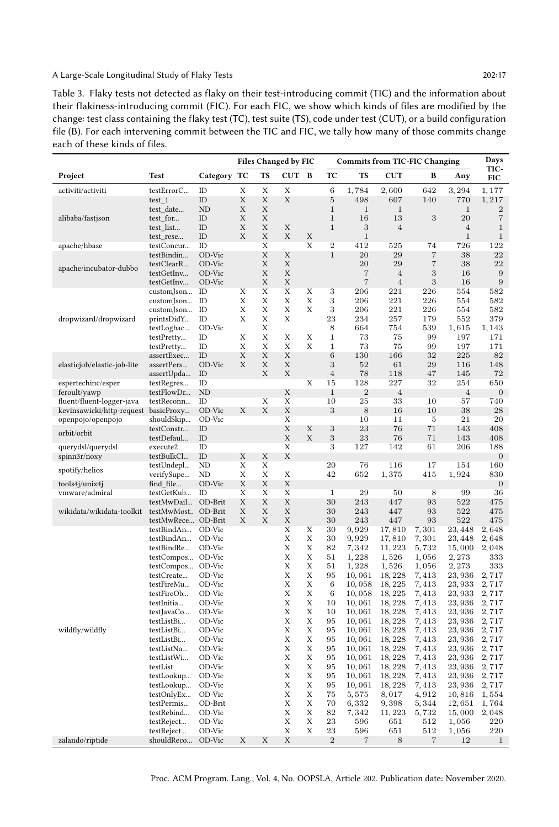<span id="page-16-0"></span>Table 3. Flaky tests not detected as flaky on their test-introducing commit (TIC) and the information about their flakiness-introducing commit (FIC). For each FIC, we show which kinds of files are modified by the change: test class containing the flaky test (TC), test suite (TS), code under test (CUT), or a build configuration file (B). For each intervening commit between the TIC and FIC, we tally how many of those commits change each of these kinds of files.

|                                    |                                        |                      |        |        | <b>Files Changed by FIC</b> |        | <b>Commits from TIC-FIC Changing</b> |                       |                       |                        |                       | Days                  |
|------------------------------------|----------------------------------------|----------------------|--------|--------|-----------------------------|--------|--------------------------------------|-----------------------|-----------------------|------------------------|-----------------------|-----------------------|
| Project                            | <b>Test</b>                            | Category             | TC     | TS     | $_{\rm{CUT}}$               | B      | TC                                   | <b>TS</b>             | $_{\rm{CUT}}$         | B                      | Any                   | TIC-<br>FIC           |
| activiti/activiti                  | testErrorC                             | ID                   | X      | X      | X                           |        | 6                                    | 1,784                 | 2,600                 | 642                    | 3,294                 | 1,177                 |
|                                    | test 1                                 | ID                   | Χ      | X      | X                           |        | $\bf 5$                              | 498                   | 607                   | 140                    | 770                   | 1,217                 |
| alibaba/fastjson                   | test date<br>test_for                  | N <sub>D</sub><br>ID | X<br>X | X<br>X |                             |        | $\,1\,$<br>$\mathbf{1}$              | $\,1\,$<br>16         | 1<br>13               | 3                      | $\mathbf{1}$<br>20    | $\boldsymbol{2}$<br>7 |
|                                    | test list                              | ID                   | X      | X      | X                           |        | $1\,$                                | 3                     | $\overline{4}$        |                        | $\overline{4}$        | $\mathbf{1}$          |
|                                    | test_rese                              | ID                   | X      | X      | X                           | Х      |                                      | $\mathbf{1}$          |                       |                        | $\mathbf{1}$          | $\,1$                 |
| apache/hbase                       | testConcur                             | ID                   |        | X      |                             | Х      | $\overline{2}$                       | 412                   | 525                   | 74                     | 726                   | 122                   |
|                                    | testBindin                             | OD-Vic               |        | X      | X                           |        | $1\,$                                | 20                    | 29                    | $\overline{7}$         | 38                    | 22                    |
| apache/incubator-dubbo             | testClearR<br>testGetInv               | OD-Vic<br>OD-Vic     |        | X<br>X | X<br>X                      |        |                                      | 20<br>$\overline{7}$  | 29<br>4               | $\scriptstyle{7}$<br>3 | 38<br>16              | 22<br>$\,9$           |
|                                    | testGetInv                             | OD-Vic               |        | X      | X                           |        |                                      | $\overline{7}$        | $\overline{4}$        | 3                      | 16                    | $\boldsymbol{9}$      |
|                                    | customJson                             | ID                   | Χ      | X      | X                           | X      | 3                                    | 206                   | 221                   | 226                    | 554                   | 582                   |
|                                    | customJson                             | ID                   | X      | X      | X                           | Х      | 3                                    | 206                   | 221                   | 226                    | 554                   | 582                   |
|                                    | customJson                             | ID                   | X      | X      | X                           | Х      | 3                                    | 206                   | 221                   | 226                    | 554                   | 582                   |
| dropwizard/dropwizard              | printsDidY                             | ID<br>OD-Vic         | Х      | X<br>X | X                           |        | 23<br>8                              | 234<br>664            | 257<br>754            | 179<br>539             | 552<br>1,615          | 379<br>1,143          |
|                                    | testLogbac<br>testPretty               | ID                   | X      | X      | X                           | Х      | $\mathbf{1}$                         | 73                    | 75                    | 99                     | 197                   | 171                   |
|                                    | testPretty                             | ID                   | X      | X      | X                           | Х      | $\mathbf{1}$                         | 73                    | 75                    | 99                     | 197                   | 171                   |
|                                    | assertExec                             | ID                   | X      | X      | X                           |        | 6                                    | 130                   | 166                   | 32                     | 225                   | 82                    |
| elasticjob/elastic-job-lite        | assertPers                             | OD-Vic               | Х      | Χ      | X                           |        | 3                                    | 52                    | 61                    | 29                     | 116                   | 148                   |
|                                    | assertUpda                             | ID                   |        | X      | X                           |        | $\overline{4}$                       | 78                    | 118                   | 47                     | 145                   | 72                    |
| espertechinc/esper<br>feroult/yawp | testRegres<br>testFlowDr               | ID<br>N <sub>D</sub> |        |        | Х                           | X      | 15<br>$\mathbf{1}$                   | 128<br>$\overline{2}$ | 227<br>$\overline{4}$ | 32                     | 254<br>$\overline{4}$ | 650<br>$\mathbf{0}$   |
| fluent/fluent-logger-java          | testReconn                             | ID                   |        | X      | Χ                           |        | 10                                   | 25                    | 33                    | 10                     | 57                    | 740                   |
| kevinsawicki/http-request          | basicProxy                             | OD-Vic               | Х      | X      | X                           |        | 3                                    | 8                     | 16                    | 10                     | 38                    | 28                    |
| openpojo/openpojo                  | shouldSkip                             | OD-Vic               |        |        | X                           |        |                                      | 10                    | 11                    | 5                      | 21                    | 20                    |
| orbit/orbit                        | testConstr                             | ID                   |        |        | X                           | X      | 3                                    | 23                    | 76                    | 71                     | 143                   | 408                   |
|                                    | testDefaul                             | ID<br>ID             |        |        | X<br>X                      | X      | 3<br>3                               | 23<br>127             | 76<br>142             | 71<br>61               | 143<br>206            | 408<br>188            |
| querydsl/querydsl<br>spinn3r/noxy  | execute2<br>testBulkCl                 | ID                   | X      | X      | X                           |        |                                      |                       |                       |                        |                       | $\overline{0}$        |
|                                    | testUndepl                             | ND                   | X      | Χ      |                             |        | 20                                   | 76                    | 116                   | 17                     | 154                   | 160                   |
| spotify/helios                     | verifySupe                             | ND                   | X      | X      | Χ                           |        | 42                                   | 652                   | 1,375                 | 415                    | 1,924                 | 830                   |
| tools4j/unix4j                     | find file                              | OD-Vic               | Χ      | X      | X                           |        |                                      |                       |                       |                        |                       | $\mathbf{0}$          |
| vmware/admiral                     | testGetKub                             | ID<br>OD-Brit        | X<br>X | X<br>X | X<br>X                      |        | $\mathbf 1$<br>30                    | 29<br>243             | 50<br>447             | 8<br>93                | 99<br>522             | 36<br>475             |
| wikidata/wikidata-toolkit          | testMwDail<br>testMwMost OD-Brit       |                      | Χ      | X      | X                           |        | 30                                   | 243                   | 447                   | 93                     | 522                   | 475                   |
|                                    | testMwRece OD-Brit                     |                      | X      | X      | X                           |        | 30                                   | 243                   | 447                   | 93                     | 522                   | 475                   |
|                                    | testBindAn                             | OD-Vic               |        |        | X                           | X      | 30                                   | 9,929                 | 17,810                | 7,301                  | 23, 448               | 2,648                 |
|                                    | testBindAn                             | OD-Vic               |        |        | X                           | X      | 30                                   | 9,929                 | 17,810                | 7,301                  | 23,448                | 2,648                 |
|                                    | testBindRe                             | OD-Vic               |        |        | Χ                           | Х      | 82                                   | 7,342                 | 11, 223               | 5,732                  | 15,000                | 2,048                 |
|                                    | testCompos OD-Vic<br>testCompos OD-Vic |                      |        |        | X<br>Χ                      | Х<br>X | 51<br>51                             | 1,228<br>1,228        | 1,526<br>1,526        | 1,056<br>1,056         | 2,273<br>2,273        | 333<br>333            |
|                                    | testCreate                             | OD-Vic               |        |        | X                           | X      | 95                                   | 10,061                | 18, 228               | 7,413                  | 23,936                | 2,717                 |
|                                    | testFireMu                             | OD-Vic               |        |        | X                           | Х      | 6                                    | 10,058                | 18, 225               | 7,413                  | 23,933                | 2,717                 |
|                                    | testFireOb                             | OD-Vic               |        |        | X                           | Х      | $\,6$                                | 10,058                | 18, 225               | 7,413                  | 23,933                | 2,717                 |
|                                    | testInitia                             | OD-Vic               |        |        | X                           | Х      | 10                                   | 10,061                | 18, 228               | 7,413                  | 23,936                | 2,717                 |
|                                    | testJavaCo                             | OD-Vic<br>OD-Vic     |        |        | Χ<br>X                      | Х<br>Х | 10<br>95                             | 10,061<br>10,061      | 18, 228<br>18, 228    | 7,413<br>7,413         | 23,936<br>23,936      | 2,717<br>2,717        |
| wildfly/wildfly                    | testListBi<br>testListBi               | OD-Vic               |        |        | X                           | Х      | 95                                   | 10,061                | 18, 228               | 7,413                  | 23,936                | 2,717                 |
|                                    | testListBi                             | OD-Vic               |        |        | X                           | Х      | 95                                   | 10,061                | 18, 228               | 7,413                  | 23,936                | 2,717                 |
|                                    | testListNa                             | OD-Vic               |        |        | X                           | Х      | 95                                   | 10,061                | 18, 228               | 7,413                  | 23,936                | 2,717                 |
|                                    | testListWi                             | OD-Vic               |        |        | X                           | Х      | 95                                   | 10,061                | 18, 228               | 7,413                  | 23,936                | 2,717                 |
|                                    | testList                               | OD-Vic               |        |        | X                           | Х      | 95                                   | 10,061                | 18, 228               | 7,413                  | 23,936                | 2,717                 |
|                                    | testLookup<br>testLookup               | OD-Vic<br>OD-Vic     |        |        | X<br>X                      | Х<br>Х | 95<br>95                             | 10,061<br>10,061      | 18, 228<br>18, 228    | 7,413<br>7,413         | 23,936<br>23,936      | 2,717<br>2,717        |
|                                    | testOnlyEx                             | OD-Vic               |        |        | X                           | Х      | 75                                   | 5,575                 | 8,017                 | 4,912                  | 10,816                | 1,554                 |
|                                    | testPermis                             | OD-Brit              |        |        | X                           | Х      | 70                                   | 6,332                 | 9,398                 | 5,344                  | 12,651                | 1,764                 |
|                                    | testRebind                             | OD-Vic               |        |        | X                           | Х      | 82                                   | 7,342                 | 11, 223               | 5,732                  | 15,000                | 2,048                 |
|                                    | testReject                             | OD-Vic               |        |        | X                           | Х      | 23                                   | 596                   | 651                   | 512                    | 1,056                 | 220                   |
| zalando/riptide                    | testReject<br>shouldReco               | OD-Vic<br>OD-Vic     | X      | X      | Χ<br>X                      | Х      | 23<br>$\overline{2}$                 | 596<br>7              | 651<br>8              | 512<br>7               | 1,056<br>12           | 220<br>$1\,$          |
|                                    |                                        |                      |        |        |                             |        |                                      |                       |                       |                        |                       |                       |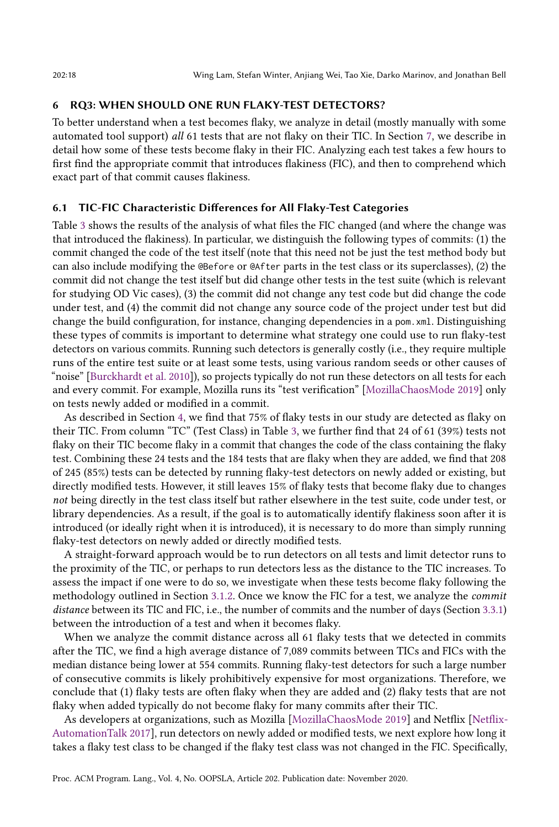## <span id="page-17-0"></span>6 RQ3: WHEN SHOULD ONE RUN FLAKY-TEST DETECTORS?

To better understand when a test becomes flaky, we analyze in detail (mostly manually with some automated tool support) all 61 tests that are not flaky on their TIC. In Section [7,](#page-19-0) we describe in detail how some of these tests become flaky in their FIC. Analyzing each test takes a few hours to first find the appropriate commit that introduces flakiness (FIC), and then to comprehend which exact part of that commit causes flakiness.

#### 6.1 TIC-FIC Characteristic Differences for All Flaky-Test Categories

Table [3](#page-16-0) shows the results of the analysis of what files the FIC changed (and where the change was that introduced the flakiness). In particular, we distinguish the following types of commits: (1) the commit changed the code of the test itself (note that this need not be just the test method body but can also include modifying the @Before or @After parts in the test class or its superclasses), (2) the commit did not change the test itself but did change other tests in the test suite (which is relevant for studying OD Vic cases), (3) the commit did not change any test code but did change the code under test, and (4) the commit did not change any source code of the project under test but did change the build configuration, for instance, changing dependencies in a pom.xml. Distinguishing these types of commits is important to determine what strategy one could use to run flaky-test detectors on various commits. Running such detectors is generally costly (i.e., they require multiple runs of the entire test suite or at least some tests, using various random seeds or other causes of "noise" [\[Burckhardt et al.](#page-27-28) [2010\]](#page-27-28)), so projects typically do not run these detectors on all tests for each and every commit. For example, Mozilla runs its "test verification" [\[MozillaChaosMode 2019\]](#page-28-10) only on tests newly added or modified in a commit.

As described in Section [4,](#page-13-0) we find that 75% of flaky tests in our study are detected as flaky on their TIC. From column "TC" (Test Class) in Table [3,](#page-16-0) we further find that 24 of 61 (39%) tests not flaky on their TIC become flaky in a commit that changes the code of the class containing the flaky test. Combining these 24 tests and the 184 tests that are flaky when they are added, we find that 208 of 245 (85%) tests can be detected by running flaky-test detectors on newly added or existing, but directly modified tests. However, it still leaves 15% of flaky tests that become flaky due to changes not being directly in the test class itself but rather elsewhere in the test suite, code under test, or library dependencies. As a result, if the goal is to automatically identify flakiness soon after it is introduced (or ideally right when it is introduced), it is necessary to do more than simply running flaky-test detectors on newly added or directly modified tests.

A straight-forward approach would be to run detectors on all tests and limit detector runs to the proximity of the TIC, or perhaps to run detectors less as the distance to the TIC increases. To assess the impact if one were to do so, we investigate when these tests become flaky following the methodology outlined in Section [3.1.2.](#page-10-2) Once we know the FIC for a test, we analyze the commit distance between its TIC and FIC, i.e., the number of commits and the number of days (Section [3.3.1\)](#page-13-1) between the introduction of a test and when it becomes flaky.

When we analyze the commit distance across all 61 flaky tests that we detected in commits after the TIC, we find a high average distance of 7,089 commits between TICs and FICs with the median distance being lower at 554 commits. Running flaky-test detectors for such a large number of consecutive commits is likely prohibitively expensive for most organizations. Therefore, we conclude that (1) flaky tests are often flaky when they are added and (2) flaky tests that are not flaky when added typically do not become flaky for many commits after their TIC.

As developers at organizations, such as Mozilla [\[MozillaChaosMode 2019\]](#page-28-10) and Netflix [\[Netflix-](#page-28-4)[AutomationTalk 2017\]](#page-28-4), run detectors on newly added or modified tests, we next explore how long it takes a flaky test class to be changed if the flaky test class was not changed in the FIC. Specifically,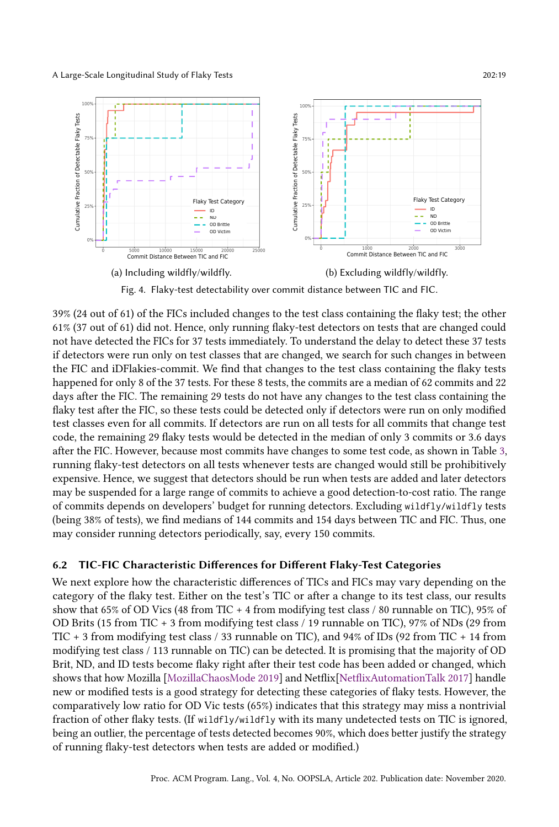<span id="page-18-0"></span>

Fig. 4. Flaky-test detectability over commit distance between TIC and FIC.

39% (24 out of 61) of the FICs included changes to the test class containing the flaky test; the other 61% (37 out of 61) did not. Hence, only running flaky-test detectors on tests that are changed could not have detected the FICs for 37 tests immediately. To understand the delay to detect these 37 tests if detectors were run only on test classes that are changed, we search for such changes in between the FIC and iDFlakies-commit. We find that changes to the test class containing the flaky tests happened for only 8 of the 37 tests. For these 8 tests, the commits are a median of 62 commits and 22 days after the FIC. The remaining 29 tests do not have any changes to the test class containing the flaky test after the FIC, so these tests could be detected only if detectors were run on only modified test classes even for all commits. If detectors are run on all tests for all commits that change test code, the remaining 29 flaky tests would be detected in the median of only 3 commits or 3.6 days after the FIC. However, because most commits have changes to some test code, as shown in Table [3,](#page-16-0) running flaky-test detectors on all tests whenever tests are changed would still be prohibitively expensive. Hence, we suggest that detectors should be run when tests are added and later detectors may be suspended for a large range of commits to achieve a good detection-to-cost ratio. The range of commits depends on developers' budget for running detectors. Excluding wildfly/wildfly tests (being 38% of tests), we find medians of 144 commits and 154 days between TIC and FIC. Thus, one may consider running detectors periodically, say, every 150 commits.

### 6.2 TIC-FIC Characteristic Differences for Different Flaky-Test Categories

We next explore how the characteristic differences of TICs and FICs may vary depending on the category of the flaky test. Either on the test's TIC or after a change to its test class, our results show that 65% of OD Vics (48 from TIC + 4 from modifying test class / 80 runnable on TIC), 95% of OD Brits (15 from TIC + 3 from modifying test class / 19 runnable on TIC), 97% of NDs (29 from TIC + 3 from modifying test class / 33 runnable on TIC), and 94% of IDs (92 from TIC + 14 from modifying test class / 113 runnable on TIC) can be detected. It is promising that the majority of OD Brit, ND, and ID tests become flaky right after their test code has been added or changed, which shows that how Mozilla [\[MozillaChaosMode 2019\]](#page-28-10) and Netflix[\[NetflixAutomationTalk 2017\]](#page-28-4) handle new or modified tests is a good strategy for detecting these categories of flaky tests. However, the comparatively low ratio for OD Vic tests (65%) indicates that this strategy may miss a nontrivial fraction of other flaky tests. (If wildfly/wildfly with its many undetected tests on TIC is ignored, being an outlier, the percentage of tests detected becomes 90%, which does better justify the strategy of running flaky-test detectors when tests are added or modified.)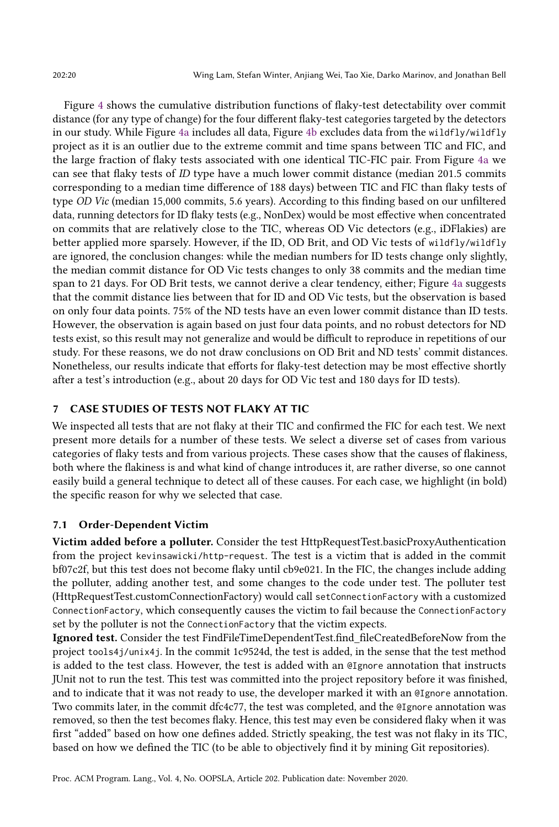Figure [4](#page-18-0) shows the cumulative distribution functions of flaky-test detectability over commit distance (for any type of change) for the four different flaky-test categories targeted by the detectors in our study. While Figure [4a](#page-18-0) includes all data, Figure [4b](#page-18-0) excludes data from the wildfly/wildfly project as it is an outlier due to the extreme commit and time spans between TIC and FIC, and the large fraction of flaky tests associated with one identical TIC-FIC pair. From Figure [4a](#page-18-0) we can see that flaky tests of ID type have a much lower commit distance (median 201.5 commits corresponding to a median time difference of 188 days) between TIC and FIC than flaky tests of type OD Vic (median 15,000 commits, 5.6 years). According to this finding based on our unfiltered data, running detectors for ID flaky tests (e.g., NonDex) would be most effective when concentrated on commits that are relatively close to the TIC, whereas OD Vic detectors (e.g., iDFlakies) are better applied more sparsely. However, if the ID, OD Brit, and OD Vic tests of wildfly/wildfly are ignored, the conclusion changes: while the median numbers for ID tests change only slightly, the median commit distance for OD Vic tests changes to only 38 commits and the median time span to 21 days. For OD Brit tests, we cannot derive a clear tendency, either; Figure [4a](#page-18-0) suggests that the commit distance lies between that for ID and OD Vic tests, but the observation is based on only four data points. 75% of the ND tests have an even lower commit distance than ID tests. However, the observation is again based on just four data points, and no robust detectors for ND tests exist, so this result may not generalize and would be difficult to reproduce in repetitions of our study. For these reasons, we do not draw conclusions on OD Brit and ND tests' commit distances. Nonetheless, our results indicate that efforts for flaky-test detection may be most effective shortly after a test's introduction (e.g., about 20 days for OD Vic test and 180 days for ID tests).

## <span id="page-19-0"></span>7 CASE STUDIES OF TESTS NOT FLAKY AT TIC

We inspected all tests that are not flaky at their TIC and confirmed the FIC for each test. We next present more details for a number of these tests. We select a diverse set of cases from various categories of flaky tests and from various projects. These cases show that the causes of flakiness, both where the flakiness is and what kind of change introduces it, are rather diverse, so one cannot easily build a general technique to detect all of these causes. For each case, we highlight (in bold) the specific reason for why we selected that case.

## <span id="page-19-1"></span>7.1 Order-Dependent Victim

Victim added before a polluter. Consider the test HttpRequestTest.basicProxyAuthentication from the project kevinsawicki/http-request. The test is a victim that is added in the commit bf07c2f, but this test does not become flaky until cb9e021. In the FIC, the changes include adding the polluter, adding another test, and some changes to the code under test. The polluter test (HttpRequestTest.customConnectionFactory) would call setConnectionFactory with a customized ConnectionFactory, which consequently causes the victim to fail because the ConnectionFactory set by the polluter is not the ConnectionFactory that the victim expects.

Ignored test. Consider the test FindFileTimeDependentTest.find\_fileCreatedBeforeNow from the project tools4j/unix4j. In the commit 1c9524d, the test is added, in the sense that the test method is added to the test class. However, the test is added with an @Ignore annotation that instructs JUnit not to run the test. This test was committed into the project repository before it was finished, and to indicate that it was not ready to use, the developer marked it with an @Ignore annotation. Two commits later, in the commit dfc4c77, the test was completed, and the @Ignore annotation was removed, so then the test becomes flaky. Hence, this test may even be considered flaky when it was first "added" based on how one defines added. Strictly speaking, the test was not flaky in its TIC, based on how we defined the TIC (to be able to objectively find it by mining Git repositories).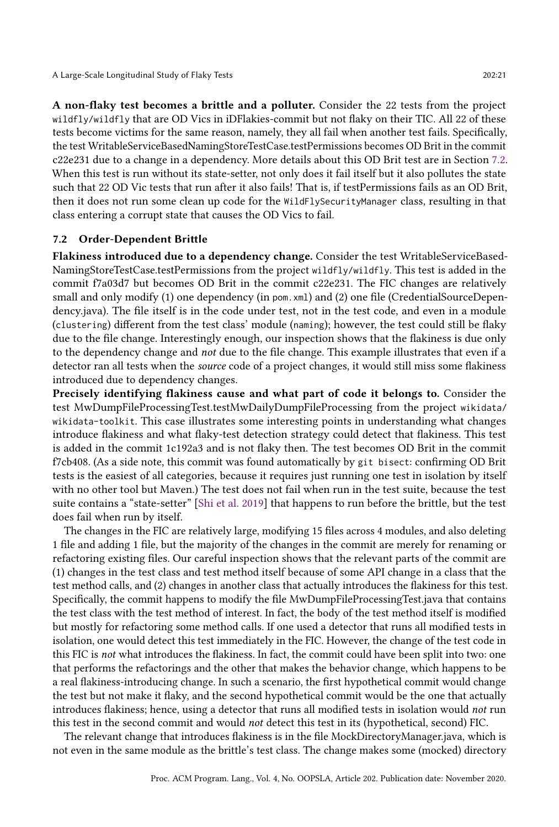A non-flaky test becomes a brittle and a polluter. Consider the 22 tests from the project wildfly/wildfly that are OD Vics in iDFlakies-commit but not flaky on their TIC. All 22 of these tests become victims for the same reason, namely, they all fail when another test fails. Specifically, the test WritableServiceBasedNamingStoreTestCase.testPermissions becomes OD Brit in the commit c22e231 due to a change in a dependency. More details about this OD Brit test are in Section [7.2.](#page-20-0) When this test is run without its state-setter, not only does it fail itself but it also pollutes the state such that 22 OD Vic tests that run after it also fails! That is, if testPermissions fails as an OD Brit, then it does not run some clean up code for the WildFlySecurityManager class, resulting in that class entering a corrupt state that causes the OD Vics to fail.

### <span id="page-20-0"></span>7.2 Order-Dependent Brittle

Flakiness introduced due to a dependency change. Consider the test WritableServiceBased-NamingStoreTestCase.testPermissions from the project wildfly/wildfly. This test is added in the commit f7a03d7 but becomes OD Brit in the commit c22e231. The FIC changes are relatively small and only modify (1) one dependency (in pom. xml) and (2) one file (CredentialSourceDependency.java). The file itself is in the code under test, not in the test code, and even in a module (clustering) different from the test class' module (naming); however, the test could still be flaky due to the file change. Interestingly enough, our inspection shows that the flakiness is due only to the dependency change and not due to the file change. This example illustrates that even if a detector ran all tests when the source code of a project changes, it would still miss some flakiness introduced due to dependency changes.

Precisely identifying flakiness cause and what part of code it belongs to. Consider the test MwDumpFileProcessingTest.testMwDailyDumpFileProcessing from the project wikidata/ wikidata-toolkit. This case illustrates some interesting points in understanding what changes introduce flakiness and what flaky-test detection strategy could detect that flakiness. This test is added in the commit 1c192a3 and is not flaky then. The test becomes OD Brit in the commit f7cb408. (As a side note, this commit was found automatically by git bisect: confirming OD Brit tests is the easiest of all categories, because it requires just running one test in isolation by itself with no other tool but Maven.) The test does not fail when run in the test suite, because the test suite contains a "state-setter" [\[Shi et al.](#page-28-14) [2019\]](#page-28-14) that happens to run before the brittle, but the test does fail when run by itself.

The changes in the FIC are relatively large, modifying 15 files across 4 modules, and also deleting 1 file and adding 1 file, but the majority of the changes in the commit are merely for renaming or refactoring existing files. Our careful inspection shows that the relevant parts of the commit are (1) changes in the test class and test method itself because of some API change in a class that the test method calls, and (2) changes in another class that actually introduces the flakiness for this test. Specifically, the commit happens to modify the file MwDumpFileProcessingTest.java that contains the test class with the test method of interest. In fact, the body of the test method itself is modified but mostly for refactoring some method calls. If one used a detector that runs all modified tests in isolation, one would detect this test immediately in the FIC. However, the change of the test code in this FIC is not what introduces the flakiness. In fact, the commit could have been split into two: one that performs the refactorings and the other that makes the behavior change, which happens to be a real flakiness-introducing change. In such a scenario, the first hypothetical commit would change the test but not make it flaky, and the second hypothetical commit would be the one that actually introduces flakiness; hence, using a detector that runs all modified tests in isolation would not run this test in the second commit and would not detect this test in its (hypothetical, second) FIC.

The relevant change that introduces flakiness is in the file MockDirectoryManager.java, which is not even in the same module as the brittle's test class. The change makes some (mocked) directory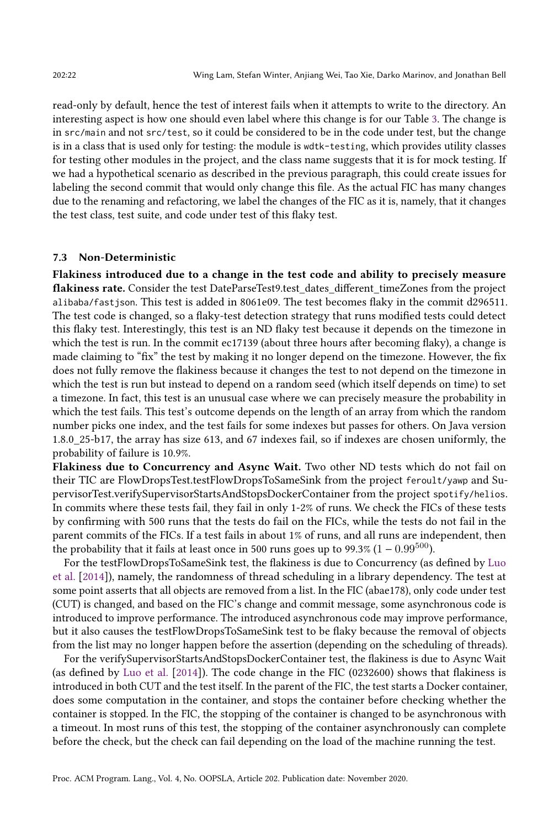read-only by default, hence the test of interest fails when it attempts to write to the directory. An interesting aspect is how one should even label where this change is for our Table [3.](#page-16-0) The change is in src/main and not src/test, so it could be considered to be in the code under test, but the change is in a class that is used only for testing: the module is wdtk-testing, which provides utility classes for testing other modules in the project, and the class name suggests that it is for mock testing. If we had a hypothetical scenario as described in the previous paragraph, this could create issues for labeling the second commit that would only change this file. As the actual FIC has many changes due to the renaming and refactoring, we label the changes of the FIC as it is, namely, that it changes the test class, test suite, and code under test of this flaky test.

#### 7.3 Non-Deterministic

Flakiness introduced due to a change in the test code and ability to precisely measure flakiness rate. Consider the test DateParseTest9.test\_dates\_different\_timeZones from the project alibaba/fastjson. This test is added in 8061e09. The test becomes flaky in the commit d296511. The test code is changed, so a flaky-test detection strategy that runs modified tests could detect this flaky test. Interestingly, this test is an ND flaky test because it depends on the timezone in which the test is run. In the commit ec17139 (about three hours after becoming flaky), a change is made claiming to "fix" the test by making it no longer depend on the timezone. However, the fix does not fully remove the flakiness because it changes the test to not depend on the timezone in which the test is run but instead to depend on a random seed (which itself depends on time) to set a timezone. In fact, this test is an unusual case where we can precisely measure the probability in which the test fails. This test's outcome depends on the length of an array from which the random number picks one index, and the test fails for some indexes but passes for others. On Java version 1.8.0\_25-b17, the array has size 613, and 67 indexes fail, so if indexes are chosen uniformly, the probability of failure is 10.9%.

Flakiness due to Concurrency and Async Wait. Two other ND tests which do not fail on their TIC are FlowDropsTest.testFlowDropsToSameSink from the project feroult/yawp and SupervisorTest.verifySupervisorStartsAndStopsDockerContainer from the project spotify/helios. In commits where these tests fail, they fail in only 1-2% of runs. We check the FICs of these tests by confirming with 500 runs that the tests do fail on the FICs, while the tests do not fail in the parent commits of the FICs. If a test fails in about 1% of runs, and all runs are independent, then the probability that it fails at least once in 500 runs goes up to 99.3%  $(1 - 0.99^{500})$ .

For the testFlowDropsToSameSink test, the flakiness is due to Concurrency (as defined by [Luo](#page-27-0) [et al.](#page-27-0) [\[2014\]](#page-27-0)), namely, the randomness of thread scheduling in a library dependency. The test at some point asserts that all objects are removed from a list. In the FIC (abae178), only code under test (CUT) is changed, and based on the FIC's change and commit message, some asynchronous code is introduced to improve performance. The introduced asynchronous code may improve performance, but it also causes the testFlowDropsToSameSink test to be flaky because the removal of objects from the list may no longer happen before the assertion (depending on the scheduling of threads).

For the verifySupervisorStartsAndStopsDockerContainer test, the flakiness is due to Async Wait (as defined by [Luo et al.](#page-27-0) [\[2014\]](#page-27-0)). The code change in the FIC (0232600) shows that flakiness is introduced in both CUT and the test itself. In the parent of the FIC, the test starts a Docker container, does some computation in the container, and stops the container before checking whether the container is stopped. In the FIC, the stopping of the container is changed to be asynchronous with a timeout. In most runs of this test, the stopping of the container asynchronously can complete before the check, but the check can fail depending on the load of the machine running the test.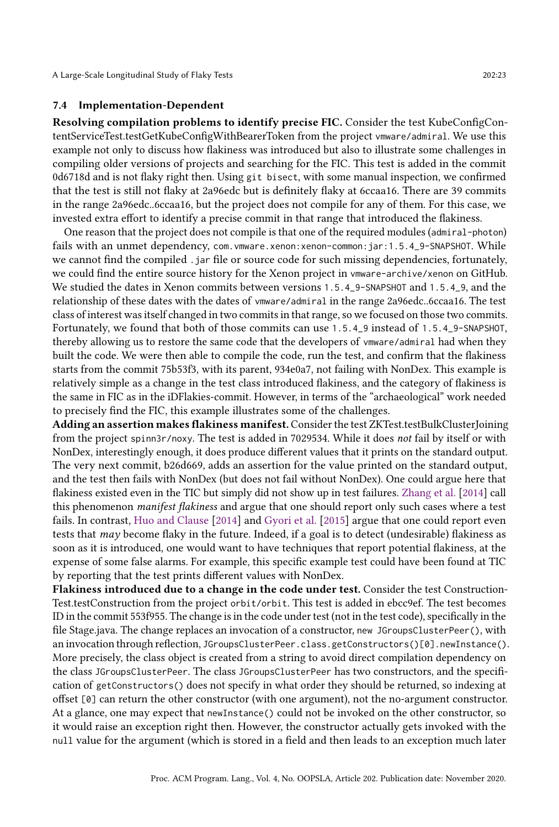#### 7.4 Implementation-Dependent

Resolving compilation problems to identify precise FIC. Consider the test KubeConfigContentServiceTest.testGetKubeConfigWithBearerToken from the project vmware/admiral. We use this example not only to discuss how flakiness was introduced but also to illustrate some challenges in compiling older versions of projects and searching for the FIC. This test is added in the commit 0d6718d and is not flaky right then. Using git bisect, with some manual inspection, we confirmed that the test is still not flaky at 2a96edc but is definitely flaky at 6ccaa16. There are 39 commits in the range 2a96edc..6ccaa16, but the project does not compile for any of them. For this case, we invested extra effort to identify a precise commit in that range that introduced the flakiness.

One reason that the project does not compile is that one of the required modules (admiral-photon) fails with an unmet dependency, com. vmware. xenon: xenon-common: jar: 1.5.4\_9-SNAPSHOT. While we cannot find the compiled .jar file or source code for such missing dependencies, fortunately, we could find the entire source history for the Xenon project in vmware-archive/xenon on GitHub. We studied the dates in Xenon commits between versions 1.5.4\_9-SNAPSHOT and 1.5.4\_9, and the relationship of these dates with the dates of vmware/admiral in the range 2a96edc..6ccaa16. The test class of interest was itself changed in two commits in that range, so we focused on those two commits. Fortunately, we found that both of those commits can use 1.5.4\_9 instead of 1.5.4\_9-SNAPSHOT, thereby allowing us to restore the same code that the developers of vmware/admiral had when they built the code. We were then able to compile the code, run the test, and confirm that the flakiness starts from the commit 75b53f3, with its parent, 934e0a7, not failing with NonDex. This example is relatively simple as a change in the test class introduced flakiness, and the category of flakiness is the same in FIC as in the iDFlakies-commit. However, in terms of the "archaeological" work needed to precisely find the FIC, this example illustrates some of the challenges.

Adding an assertion makes flakiness manifest. Consider the test ZKTest.testBulkClusterJoining from the project spinn3r/noxy. The test is added in 7029534. While it does not fail by itself or with NonDex, interestingly enough, it does produce different values that it prints on the standard output. The very next commit, b26d669, adds an assertion for the value printed on the standard output, and the test then fails with NonDex (but does not fail without NonDex). One could argue here that flakiness existed even in the TIC but simply did not show up in test failures. [Zhang et al.](#page-28-12) [\[2014\]](#page-28-12) call this phenomenon manifest flakiness and argue that one should report only such cases where a test fails. In contrast, [Huo and Clause](#page-27-16) [\[2014\]](#page-27-16) and [Gyori et al.](#page-27-15) [\[2015\]](#page-27-15) argue that one could report even tests that may become flaky in the future. Indeed, if a goal is to detect (undesirable) flakiness as soon as it is introduced, one would want to have techniques that report potential flakiness, at the expense of some false alarms. For example, this specific example test could have been found at TIC by reporting that the test prints different values with NonDex.

Flakiness introduced due to a change in the code under test. Consider the test Construction-Test.testConstruction from the project orbit/orbit. This test is added in ebcc9ef. The test becomes ID in the commit 553f955. The change is in the code under test (not in the test code), specifically in the file Stage.java. The change replaces an invocation of a constructor, new JGroupsClusterPeer(), with an invocation through reflection, JGroupsClusterPeer.class.getConstructors()[0].newInstance(). More precisely, the class object is created from a string to avoid direct compilation dependency on the class JGroupsClusterPeer. The class JGroupsClusterPeer has two constructors, and the specification of getConstructors() does not specify in what order they should be returned, so indexing at offset [0] can return the other constructor (with one argument), not the no-argument constructor. At a glance, one may expect that newInstance() could not be invoked on the other constructor, so it would raise an exception right then. However, the constructor actually gets invoked with the null value for the argument (which is stored in a field and then leads to an exception much later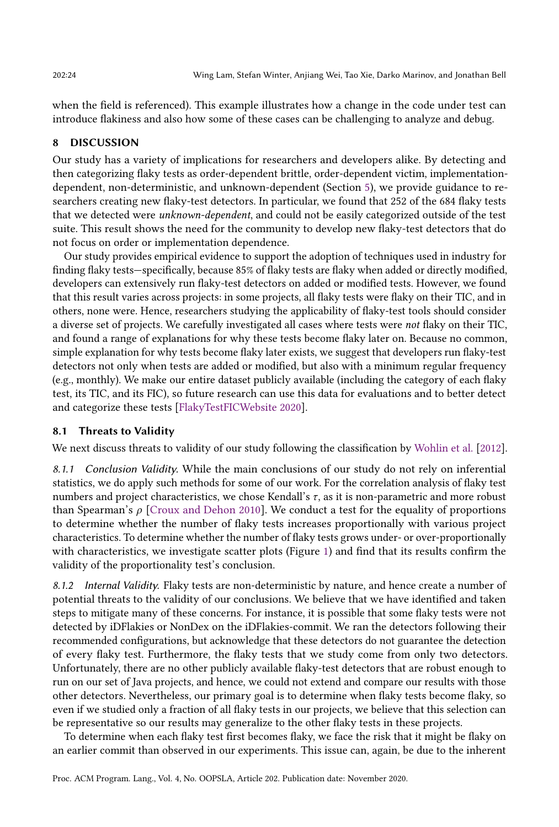when the field is referenced). This example illustrates how a change in the code under test can introduce flakiness and also how some of these cases can be challenging to analyze and debug.

#### 8 DISCUSSION

Our study has a variety of implications for researchers and developers alike. By detecting and then categorizing flaky tests as order-dependent brittle, order-dependent victim, implementationdependent, non-deterministic, and unknown-dependent (Section [5\)](#page-15-0), we provide guidance to researchers creating new flaky-test detectors. In particular, we found that 252 of the 684 flaky tests that we detected were unknown-dependent, and could not be easily categorized outside of the test suite. This result shows the need for the community to develop new flaky-test detectors that do not focus on order or implementation dependence.

Our study provides empirical evidence to support the adoption of techniques used in industry for finding flaky tests—specifically, because 85% of flaky tests are flaky when added or directly modified, developers can extensively run flaky-test detectors on added or modified tests. However, we found that this result varies across projects: in some projects, all flaky tests were flaky on their TIC, and in others, none were. Hence, researchers studying the applicability of flaky-test tools should consider a diverse set of projects. We carefully investigated all cases where tests were not flaky on their TIC, and found a range of explanations for why these tests become flaky later on. Because no common, simple explanation for why tests become flaky later exists, we suggest that developers run flaky-test detectors not only when tests are added or modified, but also with a minimum regular frequency (e.g., monthly). We make our entire dataset publicly available (including the category of each flaky test, its TIC, and its FIC), so future research can use this data for evaluations and to better detect and categorize these tests [\[FlakyTestFICWebsite 2020\]](#page-27-19).

#### 8.1 Threats to Validity

We next discuss threats to validity of our study following the classification by [Wohlin et al.](#page-28-19) [\[2012\]](#page-28-19).

8.1.1 Conclusion Validity. While the main conclusions of our study do not rely on inferential statistics, we do apply such methods for some of our work. For the correlation analysis of flaky test numbers and project characteristics, we chose Kendall's  $\tau$ , as it is non-parametric and more robust than Spearman's  $\rho$  [\[Croux and Dehon 2010\]](#page-27-29). We conduct a test for the equality of proportions to determine whether the number of flaky tests increases proportionally with various project characteristics. To determine whether the number of flaky tests grows under- or over-proportionally with characteristics, we investigate scatter plots (Figure [1\)](#page-6-2) and find that its results confirm the validity of the proportionality test's conclusion.

8.1.2 Internal Validity. Flaky tests are non-deterministic by nature, and hence create a number of potential threats to the validity of our conclusions. We believe that we have identified and taken steps to mitigate many of these concerns. For instance, it is possible that some flaky tests were not detected by iDFlakies or NonDex on the iDFlakies-commit. We ran the detectors following their recommended configurations, but acknowledge that these detectors do not guarantee the detection of every flaky test. Furthermore, the flaky tests that we study come from only two detectors. Unfortunately, there are no other publicly available flaky-test detectors that are robust enough to run on our set of Java projects, and hence, we could not extend and compare our results with those other detectors. Nevertheless, our primary goal is to determine when flaky tests become flaky, so even if we studied only a fraction of all flaky tests in our projects, we believe that this selection can be representative so our results may generalize to the other flaky tests in these projects.

To determine when each flaky test first becomes flaky, we face the risk that it might be flaky on an earlier commit than observed in our experiments. This issue can, again, be due to the inherent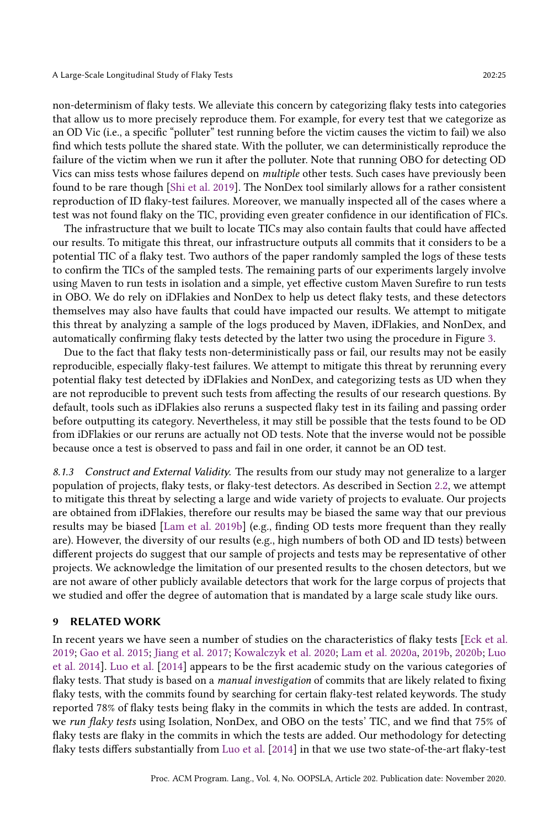non-determinism of flaky tests. We alleviate this concern by categorizing flaky tests into categories that allow us to more precisely reproduce them. For example, for every test that we categorize as an OD Vic (i.e., a specific "polluter" test running before the victim causes the victim to fail) we also find which tests pollute the shared state. With the polluter, we can deterministically reproduce the failure of the victim when we run it after the polluter. Note that running OBO for detecting OD Vics can miss tests whose failures depend on *multiple* other tests. Such cases have previously been found to be rare though [\[Shi et al.](#page-28-14) [2019\]](#page-28-14). The NonDex tool similarly allows for a rather consistent reproduction of ID flaky-test failures. Moreover, we manually inspected all of the cases where a test was not found flaky on the TIC, providing even greater confidence in our identification of FICs.

The infrastructure that we built to locate TICs may also contain faults that could have affected our results. To mitigate this threat, our infrastructure outputs all commits that it considers to be a potential TIC of a flaky test. Two authors of the paper randomly sampled the logs of these tests to confirm the TICs of the sampled tests. The remaining parts of our experiments largely involve using Maven to run tests in isolation and a simple, yet effective custom Maven Surefire to run tests in OBO. We do rely on iDFlakies and NonDex to help us detect flaky tests, and these detectors themselves may also have faults that could have impacted our results. We attempt to mitigate this threat by analyzing a sample of the logs produced by Maven, iDFlakies, and NonDex, and automatically confirming flaky tests detected by the latter two using the procedure in Figure [3.](#page-11-0)

Due to the fact that flaky tests non-deterministically pass or fail, our results may not be easily reproducible, especially flaky-test failures. We attempt to mitigate this threat by rerunning every potential flaky test detected by iDFlakies and NonDex, and categorizing tests as UD when they are not reproducible to prevent such tests from affecting the results of our research questions. By default, tools such as iDFlakies also reruns a suspected flaky test in its failing and passing order before outputting its category. Nevertheless, it may still be possible that the tests found to be OD from iDFlakies or our reruns are actually not OD tests. Note that the inverse would not be possible because once a test is observed to pass and fail in one order, it cannot be an OD test.

8.1.3 Construct and External Validity. The results from our study may not generalize to a larger population of projects, flaky tests, or flaky-test detectors. As described in Section [2.2,](#page-5-0) we attempt to mitigate this threat by selecting a large and wide variety of projects to evaluate. Our projects are obtained from iDFlakies, therefore our results may be biased the same way that our previous results may be biased [\[Lam et al.](#page-27-17) [2019b\]](#page-27-17) (e.g., finding OD tests more frequent than they really are). However, the diversity of our results (e.g., high numbers of both OD and ID tests) between different projects do suggest that our sample of projects and tests may be representative of other projects. We acknowledge the limitation of our presented results to the chosen detectors, but we are not aware of other publicly available detectors that work for the large corpus of projects that we studied and offer the degree of automation that is mandated by a large scale study like ours.

### 9 RELATED WORK

In recent years we have seen a number of studies on the characteristics of flaky tests [\[Eck et al.](#page-27-10) [2019;](#page-27-10) [Gao et al.](#page-27-30) [2015;](#page-27-30) [Jiang et al.](#page-27-9) [2017;](#page-27-9) [Kowalczyk et al.](#page-27-31) [2020;](#page-27-31) [Lam et al.](#page-27-7) [2020a,](#page-27-7) [2019b,](#page-27-17) [2020b;](#page-27-32) [Luo](#page-27-0) [et al.](#page-27-0) [2014\]](#page-27-0). [Luo et al.](#page-27-0) [\[2014\]](#page-27-0) appears to be the first academic study on the various categories of flaky tests. That study is based on a *manual investigation* of commits that are likely related to fixing flaky tests, with the commits found by searching for certain flaky-test related keywords. The study reported 78% of flaky tests being flaky in the commits in which the tests are added. In contrast, we run flaky tests using Isolation, NonDex, and OBO on the tests' TIC, and we find that 75% of flaky tests are flaky in the commits in which the tests are added. Our methodology for detecting flaky tests differs substantially from [Luo et al.](#page-27-0) [\[2014\]](#page-27-0) in that we use two state-of-the-art flaky-test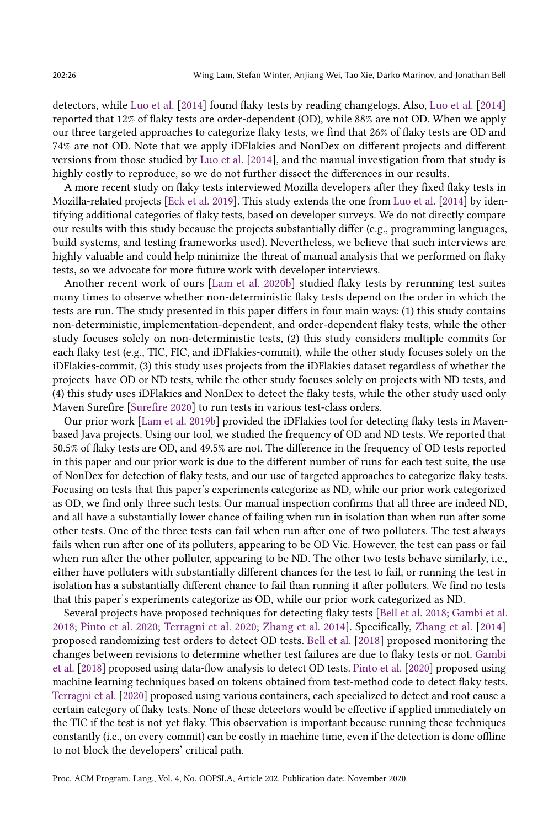detectors, while [Luo et al.](#page-27-0) [\[2014\]](#page-27-0) found flaky tests by reading changelogs. Also, [Luo et al.](#page-27-0) [\[2014\]](#page-27-0) reported that 12% of flaky tests are order-dependent (OD), while 88% are not OD. When we apply our three targeted approaches to categorize flaky tests, we find that 26% of flaky tests are OD and 74% are not OD. Note that we apply iDFlakies and NonDex on different projects and different versions from those studied by [Luo et al.](#page-27-0) [\[2014\]](#page-27-0), and the manual investigation from that study is highly costly to reproduce, so we do not further dissect the differences in our results.

A more recent study on flaky tests interviewed Mozilla developers after they fixed flaky tests in Mozilla-related projects [\[Eck et al.](#page-27-10) [2019\]](#page-27-10). This study extends the one from [Luo et al.](#page-27-0) [\[2014\]](#page-27-0) by identifying additional categories of flaky tests, based on developer surveys. We do not directly compare our results with this study because the projects substantially differ (e.g., programming languages, build systems, and testing frameworks used). Nevertheless, we believe that such interviews are highly valuable and could help minimize the threat of manual analysis that we performed on flaky tests, so we advocate for more future work with developer interviews.

Another recent work of ours [\[Lam et al.](#page-27-32) [2020b\]](#page-27-32) studied flaky tests by rerunning test suites many times to observe whether non-deterministic flaky tests depend on the order in which the tests are run. The study presented in this paper differs in four main ways: (1) this study contains non-deterministic, implementation-dependent, and order-dependent flaky tests, while the other study focuses solely on non-deterministic tests, (2) this study considers multiple commits for each flaky test (e.g., TIC, FIC, and iDFlakies-commit), while the other study focuses solely on the iDFlakies-commit, (3) this study uses projects from the iDFlakies dataset regardless of whether the projects have OD or ND tests, while the other study focuses solely on projects with ND tests, and (4) this study uses iDFlakies and NonDex to detect the flaky tests, while the other study used only Maven Surefire [\[Surefire 2020\]](#page-28-16) to run tests in various test-class orders.

Our prior work [\[Lam et al.](#page-27-17) [2019b\]](#page-27-17) provided the iDFlakies tool for detecting flaky tests in Mavenbased Java projects. Using our tool, we studied the frequency of OD and ND tests. We reported that 50.5% of flaky tests are OD, and 49.5% are not. The difference in the frequency of OD tests reported in this paper and our prior work is due to the different number of runs for each test suite, the use of NonDex for detection of flaky tests, and our use of targeted approaches to categorize flaky tests. Focusing on tests that this paper's experiments categorize as ND, while our prior work categorized as OD, we find only three such tests. Our manual inspection confirms that all three are indeed ND, and all have a substantially lower chance of failing when run in isolation than when run after some other tests. One of the three tests can fail when run after one of two polluters. The test always fails when run after one of its polluters, appearing to be OD Vic. However, the test can pass or fail when run after the other polluter, appearing to be ND. The other two tests behave similarly, i.e., either have polluters with substantially different chances for the test to fail, or running the test in isolation has a substantially different chance to fail than running it after polluters. We find no tests that this paper's experiments categorize as OD, while our prior work categorized as ND.

Several projects have proposed techniques for detecting flaky tests [\[Bell et al.](#page-27-33) [2018;](#page-27-33) [Gambi et al.](#page-27-18) [2018;](#page-27-18) [Pinto et al.](#page-28-20) [2020;](#page-28-20) [Terragni et al.](#page-28-21) [2020;](#page-28-21) [Zhang et al.](#page-28-12) [2014\]](#page-28-12). Specifically, [Zhang et al.](#page-28-12) [\[2014\]](#page-28-12) proposed randomizing test orders to detect OD tests. [Bell et al.](#page-27-33) [\[2018\]](#page-27-33) proposed monitoring the changes between revisions to determine whether test failures are due to flaky tests or not. [Gambi](#page-27-18) [et al.](#page-27-18) [\[2018\]](#page-27-18) proposed using data-flow analysis to detect OD tests. [Pinto et al.](#page-28-20) [\[2020\]](#page-28-20) proposed using machine learning techniques based on tokens obtained from test-method code to detect flaky tests. [Terragni et al.](#page-28-21) [\[2020\]](#page-28-21) proposed using various containers, each specialized to detect and root cause a certain category of flaky tests. None of these detectors would be effective if applied immediately on the TIC if the test is not yet flaky. This observation is important because running these techniques constantly (i.e., on every commit) can be costly in machine time, even if the detection is done offline to not block the developers' critical path.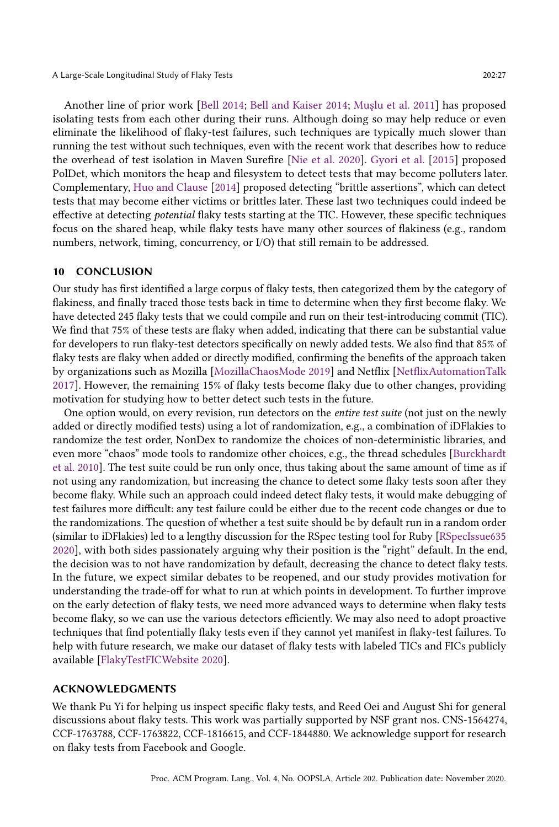Another line of prior work [\[Bell 2014;](#page-27-24) [Bell and Kaiser 2014;](#page-27-25) [Muşlu et al.](#page-28-15) [2011\]](#page-28-15) has proposed isolating tests from each other during their runs. Although doing so may help reduce or even eliminate the likelihood of flaky-test failures, such techniques are typically much slower than running the test without such techniques, even with the recent work that describes how to reduce the overhead of test isolation in Maven Surefire [\[Nie et al.](#page-28-22) [2020\]](#page-28-22). [Gyori et al.](#page-27-15) [\[2015\]](#page-27-15) proposed PolDet, which monitors the heap and filesystem to detect tests that may become polluters later. Complementary, [Huo and Clause](#page-27-16) [\[2014\]](#page-27-16) proposed detecting "brittle assertions", which can detect tests that may become either victims or brittles later. These last two techniques could indeed be effective at detecting potential flaky tests starting at the TIC. However, these specific techniques focus on the shared heap, while flaky tests have many other sources of flakiness (e.g., random numbers, network, timing, concurrency, or I/O) that still remain to be addressed.

#### 10 CONCLUSION

Our study has first identified a large corpus of flaky tests, then categorized them by the category of flakiness, and finally traced those tests back in time to determine when they first become flaky. We have detected 245 flaky tests that we could compile and run on their test-introducing commit (TIC). We find that 75% of these tests are flaky when added, indicating that there can be substantial value for developers to run flaky-test detectors specifically on newly added tests. We also find that 85% of flaky tests are flaky when added or directly modified, confirming the benefits of the approach taken by organizations such as Mozilla [\[MozillaChaosMode 2019\]](#page-28-10) and Netflix [\[NetflixAutomationTalk](#page-28-4) [2017\]](#page-28-4). However, the remaining 15% of flaky tests become flaky due to other changes, providing motivation for studying how to better detect such tests in the future.

One option would, on every revision, run detectors on the entire test suite (not just on the newly added or directly modified tests) using a lot of randomization, e.g., a combination of iDFlakies to randomize the test order, NonDex to randomize the choices of non-deterministic libraries, and even more "chaos" mode tools to randomize other choices, e.g., the thread schedules [\[Burckhardt](#page-27-28)] [et al.](#page-27-28) [2010\]](#page-27-28). The test suite could be run only once, thus taking about the same amount of time as if not using any randomization, but increasing the chance to detect some flaky tests soon after they become flaky. While such an approach could indeed detect flaky tests, it would make debugging of test failures more difficult: any test failure could be either due to the recent code changes or due to the randomizations. The question of whether a test suite should be by default run in a random order (similar to iDFlakies) led to a lengthy discussion for the RSpec testing tool for Ruby [\[RSpecIssue635](#page-28-23) [2020\]](#page-28-23), with both sides passionately arguing why their position is the "right" default. In the end, the decision was to not have randomization by default, decreasing the chance to detect flaky tests. In the future, we expect similar debates to be reopened, and our study provides motivation for understanding the trade-off for what to run at which points in development. To further improve on the early detection of flaky tests, we need more advanced ways to determine when flaky tests become flaky, so we can use the various detectors efficiently. We may also need to adopt proactive techniques that find potentially flaky tests even if they cannot yet manifest in flaky-test failures. To help with future research, we make our dataset of flaky tests with labeled TICs and FICs publicly available [\[FlakyTestFICWebsite 2020\]](#page-27-19).

#### ACKNOWLEDGMENTS

We thank Pu Yi for helping us inspect specific flaky tests, and Reed Oei and August Shi for general discussions about flaky tests. This work was partially supported by NSF grant nos. CNS-1564274, CCF-1763788, CCF-1763822, CCF-1816615, and CCF-1844880. We acknowledge support for research on flaky tests from Facebook and Google.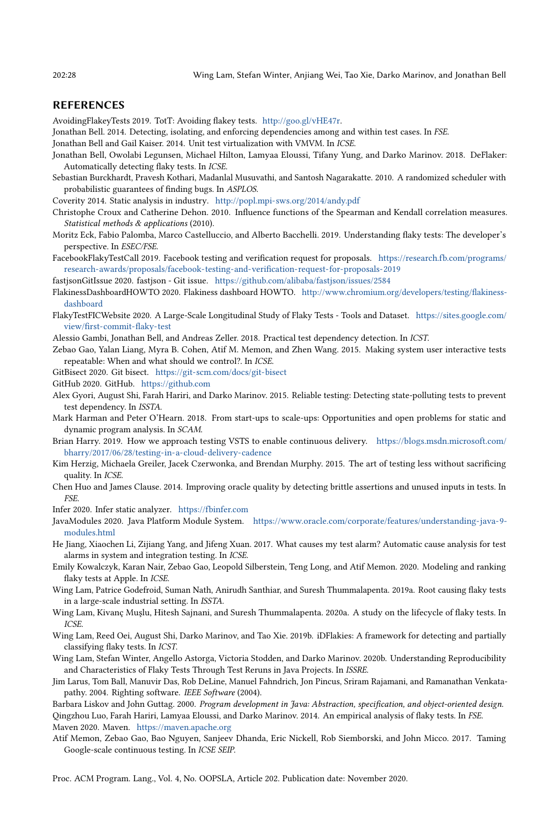#### REFERENCES

<span id="page-27-3"></span>AvoidingFlakeyTests 2019. TotT: Avoiding flakey tests. [http://goo.gl/vHE47r.](http://goo.gl/vHE47r)

- <span id="page-27-24"></span>Jonathan Bell. 2014. Detecting, isolating, and enforcing dependencies among and within test cases. In FSE.
- <span id="page-27-25"></span>Jonathan Bell and Gail Kaiser. 2014. Unit test virtualization with VMVM. In ICSE.
- <span id="page-27-33"></span>Jonathan Bell, Owolabi Legunsen, Michael Hilton, Lamyaa Eloussi, Tifany Yung, and Darko Marinov. 2018. DeFlaker: Automatically detecting flaky tests. In ICSE.
- <span id="page-27-28"></span>Sebastian Burckhardt, Pravesh Kothari, Madanlal Musuvathi, and Santosh Nagarakatte. 2010. A randomized scheduler with probabilistic guarantees of finding bugs. In ASPLOS.

<span id="page-27-11"></span>Coverity 2014. Static analysis in industry. <http://popl.mpi-sws.org/2014/andy.pdf>

- <span id="page-27-29"></span>Christophe Croux and Catherine Dehon. 2010. Influence functions of the Spearman and Kendall correlation measures. Statistical methods & applications (2010).
- <span id="page-27-10"></span>Moritz Eck, Fabio Palomba, Marco Castelluccio, and Alberto Bacchelli. 2019. Understanding flaky tests: The developer's perspective. In ESEC/FSE.
- <span id="page-27-2"></span>FacebookFlakyTestCall 2019. Facebook testing and verification request for proposals. [https://research.fb.com/programs/](https://research.fb.com/programs/research-awards/proposals/facebook-testing-and-verification-request-for-proposals-2019) [research-awards/proposals/facebook-testing-and-verification-request-for-proposals-2019](https://research.fb.com/programs/research-awards/proposals/facebook-testing-and-verification-request-for-proposals-2019)

<span id="page-27-23"></span>fastjsonGitIssue 2020. fastjson - Git issue. <https://github.com/alibaba/fastjson/issues/2584>

- <span id="page-27-4"></span>FlakinessDashboardHOWTO 2020. Flakiness dashboard HOWTO. [http://www.chromium.org/developers/testing/flakiness](http://www.chromium.org/developers/testing/flakiness-dashboard)[dashboard](http://www.chromium.org/developers/testing/flakiness-dashboard)
- <span id="page-27-19"></span>FlakyTestFICWebsite 2020. A Large-Scale Longitudinal Study of Flaky Tests - Tools and Dataset. [https://sites.google.com/](https://sites.google.com/view/first-commit-flaky-test) [view/first-commit-flaky-test](https://sites.google.com/view/first-commit-flaky-test)

<span id="page-27-18"></span>Alessio Gambi, Jonathan Bell, and Andreas Zeller. 2018. Practical test dependency detection. In ICST.

- <span id="page-27-30"></span>Zebao Gao, Yalan Liang, Myra B. Cohen, Atif M. Memon, and Zhen Wang. 2015. Making system user interactive tests repeatable: When and what should we control?. In ICSE.
- <span id="page-27-27"></span>GitBisect 2020. Git bisect. <https://git-scm.com/docs/git-bisect>
- <span id="page-27-21"></span>GitHub 2020. GitHub. <https://github.com>
- <span id="page-27-15"></span>Alex Gyori, August Shi, Farah Hariri, and Darko Marinov. 2015. Reliable testing: Detecting state-polluting tests to prevent test dependency. In ISSTA.
- <span id="page-27-1"></span>Mark Harman and Peter O'Hearn. 2018. From start-ups to scale-ups: Opportunities and open problems for static and dynamic program analysis. In SCAM.
- <span id="page-27-5"></span>Brian Harry. 2019. How we approach testing VSTS to enable continuous delivery. [https://blogs.msdn.microsoft.com/](https://blogs.msdn.microsoft.com/bharry/2017/06/28/testing-in-a-cloud-delivery-cadence) [bharry/2017/06/28/testing-in-a-cloud-delivery-cadence](https://blogs.msdn.microsoft.com/bharry/2017/06/28/testing-in-a-cloud-delivery-cadence)
- <span id="page-27-8"></span>Kim Herzig, Michaela Greiler, Jacek Czerwonka, and Brendan Murphy. 2015. The art of testing less without sacrificing quality. In ICSE.
- <span id="page-27-16"></span>Chen Huo and James Clause. 2014. Improving oracle quality by detecting brittle assertions and unused inputs in tests. In FSE.
- <span id="page-27-12"></span>Infer 2020. Infer static analyzer. <https://fbinfer.com>
- <span id="page-27-22"></span>JavaModules 2020. Java Platform Module System. [https://www.oracle.com/corporate/features/understanding-java-9](https://www.oracle.com/corporate/features/understanding-java-9-modules.html) [modules.html](https://www.oracle.com/corporate/features/understanding-java-9-modules.html)
- <span id="page-27-9"></span>He Jiang, Xiaochen Li, Zijiang Yang, and Jifeng Xuan. 2017. What causes my test alarm? Automatic cause analysis for test alarms in system and integration testing. In ICSE.
- <span id="page-27-31"></span>Emily Kowalczyk, Karan Nair, Zebao Gao, Leopold Silberstein, Teng Long, and Atif Memon. 2020. Modeling and ranking flaky tests at Apple. In ICSE.
- <span id="page-27-6"></span>Wing Lam, Patrice Godefroid, Suman Nath, Anirudh Santhiar, and Suresh Thummalapenta. 2019a. Root causing flaky tests in a large-scale industrial setting. In ISSTA.
- <span id="page-27-7"></span>Wing Lam, Kivanç Muşlu, Hitesh Sajnani, and Suresh Thummalapenta. 2020a. A study on the lifecycle of flaky tests. In ICSE.
- <span id="page-27-17"></span>Wing Lam, Reed Oei, August Shi, Darko Marinov, and Tao Xie. 2019b. iDFlakies: A framework for detecting and partially classifying flaky tests. In ICST.
- <span id="page-27-32"></span>Wing Lam, Stefan Winter, Angello Astorga, Victoria Stodden, and Darko Marinov. 2020b. Understanding Reproducibility and Characteristics of Flaky Tests Through Test Reruns in Java Projects. In ISSRE.
- <span id="page-27-13"></span>Jim Larus, Tom Ball, Manuvir Das, Rob DeLine, Manuel Fahndrich, Jon Pincus, Sriram Rajamani, and Ramanathan Venkatapathy. 2004. Righting software. IEEE Software (2004).
- <span id="page-27-20"></span><span id="page-27-0"></span>Barbara Liskov and John Guttag. 2000. Program development in Java: Abstraction, specification, and object-oriented design. Qingzhou Luo, Farah Hariri, Lamyaa Eloussi, and Darko Marinov. 2014. An empirical analysis of flaky tests. In FSE. Maven 2020. Maven. <https://maven.apache.org>
- <span id="page-27-26"></span><span id="page-27-14"></span>Atif Memon, Zebao Gao, Bao Nguyen, Sanjeev Dhanda, Eric Nickell, Rob Siemborski, and John Micco. 2017. Taming Google-scale continuous testing. In ICSE SEIP.

Proc. ACM Program. Lang., Vol. 4, No. OOPSLA, Article 202. Publication date: November 2020.